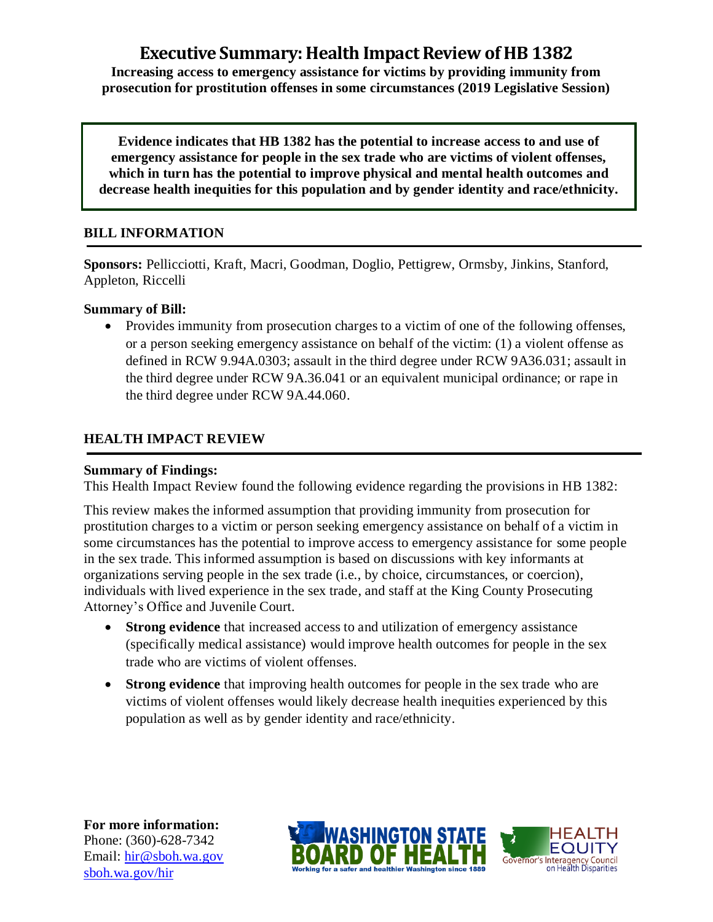# **Executive Summary: Health Impact Review of HB 1382**

**Increasing access to emergency assistance for victims by providing immunity from prosecution for prostitution offenses in some circumstances (2019 Legislative Session)**

**Evidence indicates that HB 1382 has the potential to increase access to and use of emergency assistance for people in the sex trade who are victims of violent offenses, which in turn has the potential to improve physical and mental health outcomes and decrease health inequities for this population and by gender identity and race/ethnicity.**

# **BILL INFORMATION**

**Sponsors:** Pellicciotti, Kraft, Macri, Goodman, Doglio, Pettigrew, Ormsby, Jinkins, Stanford, Appleton, Riccelli

## **Summary of Bill:**

• Provides immunity from prosecution charges to a victim of one of the following offenses, or a person seeking emergency assistance on behalf of the victim: (1) a violent offense as defined in RCW 9.94A.0303; assault in the third degree under RCW 9A36.031; assault in the third degree under RCW 9A.36.041 or an equivalent municipal ordinance; or rape in the third degree under RCW 9A.44.060.

# **HEALTH IMPACT REVIEW**

## **Summary of Findings:**

This Health Impact Review found the following evidence regarding the provisions in HB 1382:

This review makes the informed assumption that providing immunity from prosecution for prostitution charges to a victim or person seeking emergency assistance on behalf of a victim in some circumstances has the potential to improve access to emergency assistance for some people in the sex trade. This informed assumption is based on discussions with key informants at organizations serving people in the sex trade (i.e., by choice, circumstances, or coercion), individuals with lived experience in the sex trade, and staff at the King County Prosecuting Attorney's Office and Juvenile Court.

- **Strong evidence** that increased access to and utilization of emergency assistance (specifically medical assistance) would improve health outcomes for people in the sex trade who are victims of violent offenses.
- **Strong evidence** that improving health outcomes for people in the sex trade who are victims of violent offenses would likely decrease health inequities experienced by this population as well as by gender identity and race/ethnicity.

**For more information:** Phone: (360)-628-7342 Email: [hir@sboh.wa.gov](mailto:hir@sboh.wa.gov) [sboh.wa.gov/](http://sboh.wa.gov/)hir



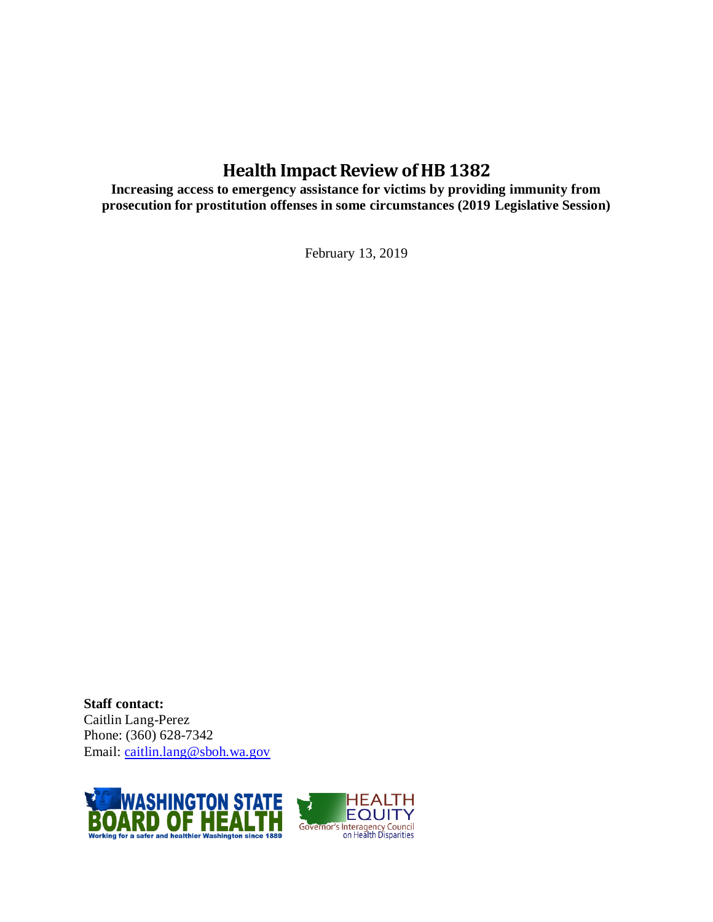# **Health Impact Review of HB 1382**

**Increasing access to emergency assistance for victims by providing immunity from prosecution for prostitution offenses in some circumstances (2019 Legislative Session)**

February 13, 2019

**Staff contact:** Caitlin Lang-Perez Phone: (360) 628-7342 Email: [caitlin.lang@sboh.wa.gov](mailto:caitlin.lang@sboh.wa.gov)

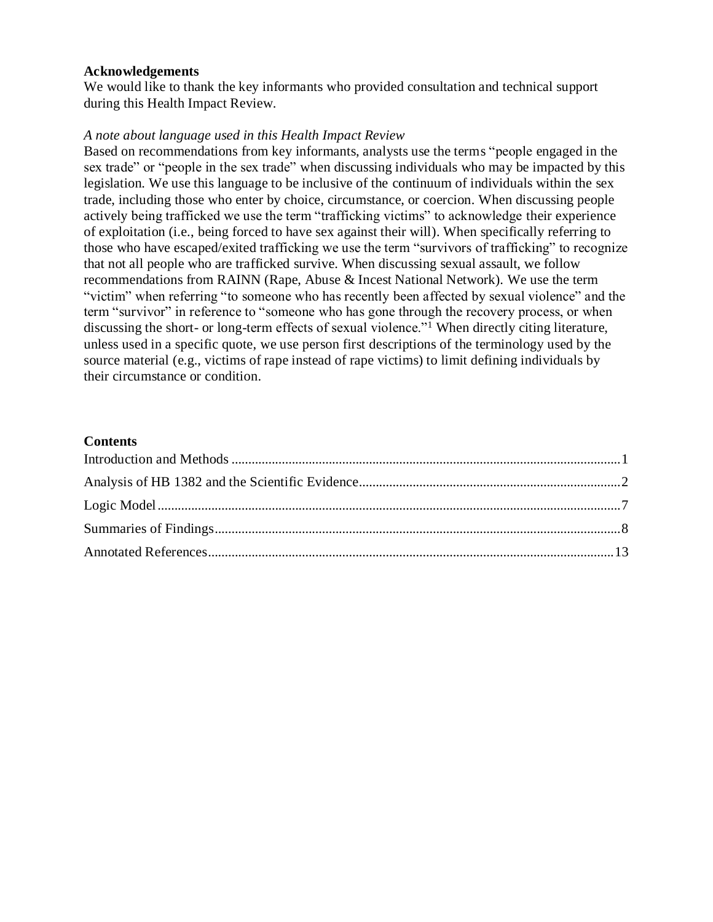#### **Acknowledgements**

We would like to thank the key informants who provided consultation and technical support during this Health Impact Review.

#### *A note about language used in this Health Impact Review*

Based on recommendations from key informants, analysts use the terms "people engaged in the sex trade" or "people in the sex trade" when discussing individuals who may be impacted by this legislation. We use this language to be inclusive of the continuum of individuals within the sex trade, including those who enter by choice, circumstance, or coercion. When discussing people actively being trafficked we use the term "trafficking victims" to acknowledge their experience of exploitation (i.e., being forced to have sex against their will). When specifically referring to those who have escaped/exited trafficking we use the term "survivors of trafficking" to recognize that not all people who are trafficked survive. When discussing sexual assault, we follow recommendations from RAINN (Rape, Abuse & Incest National Network). We use the term "victim" when referring "to someone who has recently been affected by sexual violence" and the term "survivor" in reference to "someone who has gone through the recovery process, or when discussing the short- or long-term effects of sexual violence."<sup>1</sup> When directly citing literature, unless used in a specific quote, we use person first descriptions of the terminology used by the source material (e.g., victims of rape instead of rape victims) to limit defining individuals by their circumstance or condition.

#### **Contents**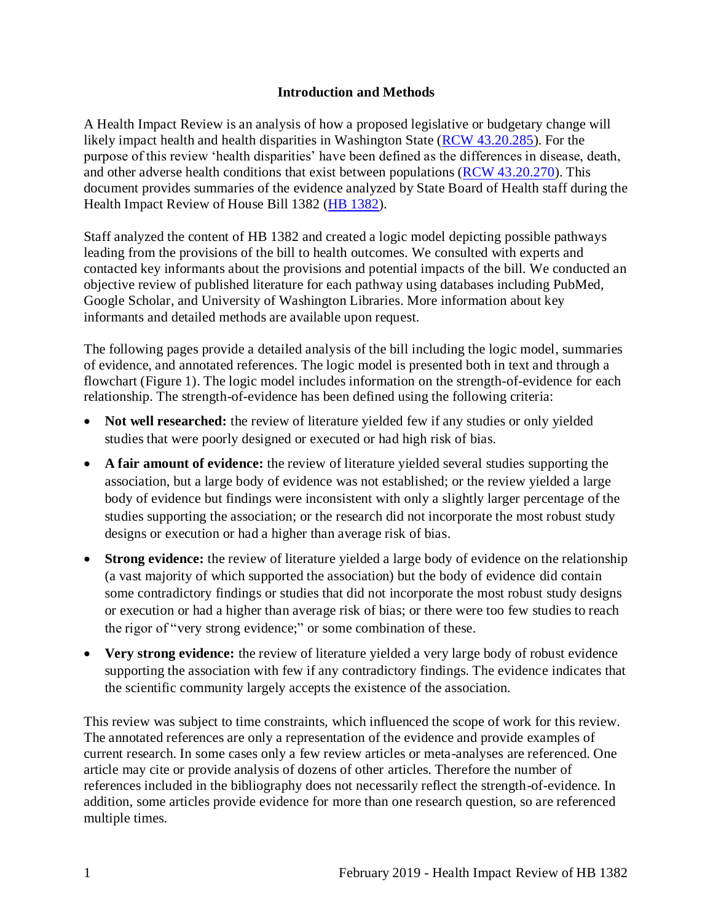#### **Introduction and Methods**

<span id="page-3-0"></span>A Health Impact Review is an analysis of how a proposed legislative or budgetary change will likely impact health and health disparities in Washington State [\(RCW 43.20.285\)](http://apps.leg.wa.gov/rcw/default.aspx?cite=43.20.285). For the purpose of this review 'health disparities' have been defined as the differences in disease, death, and other adverse health conditions that exist between populations [\(RCW 43.20.270\)](http://apps.leg.wa.gov/rcw/default.aspx?cite=43.20.270). This document provides summaries of the evidence analyzed by State Board of Health staff during the Health Impact Review of House Bill 1382 [\(HB 1382\)](https://app.leg.wa.gov/billsummary?BillNumber=1382&Initiative=false&Year=2019).

Staff analyzed the content of HB 1382 and created a logic model depicting possible pathways leading from the provisions of the bill to health outcomes. We consulted with experts and contacted key informants about the provisions and potential impacts of the bill. We conducted an objective review of published literature for each pathway using databases including PubMed, Google Scholar, and University of Washington Libraries. More information about key informants and detailed methods are available upon request.

The following pages provide a detailed analysis of the bill including the logic model, summaries of evidence, and annotated references. The logic model is presented both in text and through a flowchart (Figure 1). The logic model includes information on the strength-of-evidence for each relationship. The strength-of-evidence has been defined using the following criteria:

- Not well researched: the review of literature yielded few if any studies or only yielded studies that were poorly designed or executed or had high risk of bias.
- **A fair amount of evidence:** the review of literature yielded several studies supporting the association, but a large body of evidence was not established; or the review yielded a large body of evidence but findings were inconsistent with only a slightly larger percentage of the studies supporting the association; or the research did not incorporate the most robust study designs or execution or had a higher than average risk of bias.
- **Strong evidence:** the review of literature yielded a large body of evidence on the relationship (a vast majority of which supported the association) but the body of evidence did contain some contradictory findings or studies that did not incorporate the most robust study designs or execution or had a higher than average risk of bias; or there were too few studies to reach the rigor of "very strong evidence;" or some combination of these.
- **Very strong evidence:** the review of literature yielded a very large body of robust evidence supporting the association with few if any contradictory findings. The evidence indicates that the scientific community largely accepts the existence of the association.

This review was subject to time constraints, which influenced the scope of work for this review. The annotated references are only a representation of the evidence and provide examples of current research. In some cases only a few review articles or meta-analyses are referenced. One article may cite or provide analysis of dozens of other articles. Therefore the number of references included in the bibliography does not necessarily reflect the strength-of-evidence. In addition, some articles provide evidence for more than one research question, so are referenced multiple times.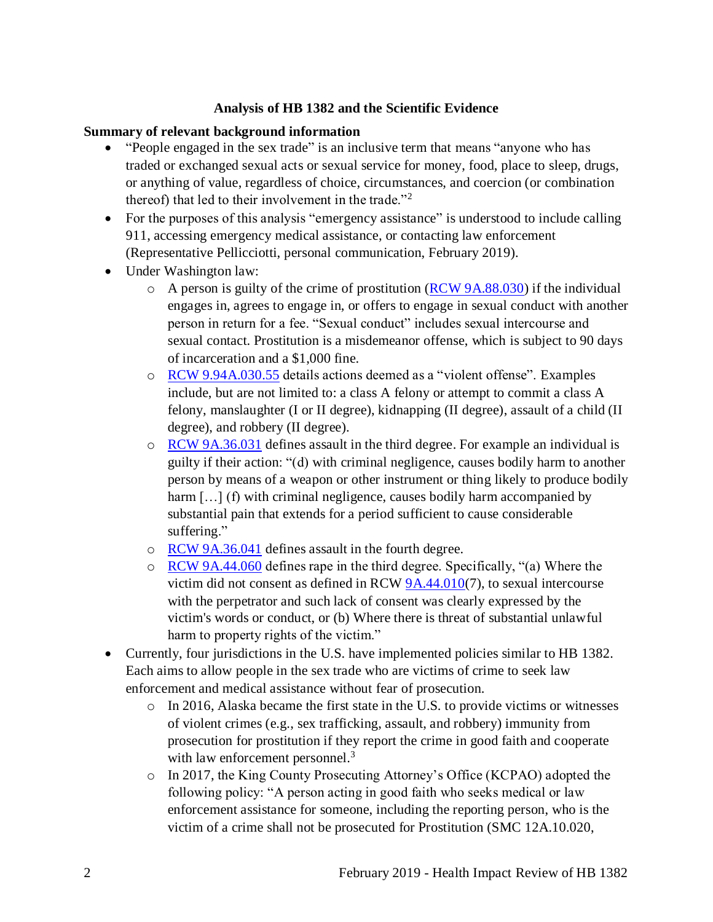#### **Analysis of HB 1382 and the Scientific Evidence**

#### <span id="page-4-0"></span>**Summary of relevant background information**

- "People engaged in the sex trade" is an inclusive term that means "anyone who has traded or exchanged sexual acts or sexual service for money, food, place to sleep, drugs, or anything of value, regardless of choice, circumstances, and coercion (or combination thereof) that led to their involvement in the trade."<sup>2</sup>
- For the purposes of this analysis "emergency assistance" is understood to include calling 911, accessing emergency medical assistance, or contacting law enforcement (Representative Pellicciotti, personal communication, February 2019).
- Under Washington law:
	- $\circ$  A person is guilty of the crime of prostitution [\(RCW 9A.88.030\)](https://app.leg.wa.gov/rcw/default.aspx?cite=9A.88.030) if the individual engages in, agrees to engage in, or offers to engage in sexual conduct with another person in return for a fee. "Sexual conduct" includes sexual intercourse and sexual contact. Prostitution is a misdemeanor offense, which is subject to 90 days of incarceration and a \$1,000 fine.
	- o [RCW 9.94A.030.](https://apps.leg.wa.gov/rcw/default.aspx?cite=9.94A.030)55 details actions deemed as a "violent offense". Examples include, but are not limited to: a class A felony or attempt to commit a class A felony, manslaughter (I or II degree), kidnapping (II degree), assault of a child (II degree), and robbery (II degree).
	- o [RCW 9A.36.031](https://app.leg.wa.gov/rcw/default.aspx?cite=9a.36.031) defines assault in the third degree. For example an individual is guilty if their action: "(d) with criminal negligence, causes bodily harm to another person by means of a weapon or other instrument or thing likely to produce bodily harm [...] (f) with criminal negligence, causes bodily harm accompanied by substantial pain that extends for a period sufficient to cause considerable suffering."
	- o [RCW 9A.36.041](https://app.leg.wa.gov/rcw/default.aspx?cite=9A.36.041) defines assault in the fourth degree.
	- o [RCW 9A.44.060](https://app.leg.wa.gov/rcw/default.aspx?cite=9A.44.060) defines rape in the third degree. Specifically, "(a) Where the victim did not consent as defined in RCW [9A.44.010\(](https://app.leg.wa.gov/RCW/default.aspx?cite=9A.44.010)7), to sexual intercourse with the perpetrator and such lack of consent was clearly expressed by the victim's words or conduct, or (b) Where there is threat of substantial unlawful harm to property rights of the victim."
- Currently, four jurisdictions in the U.S. have implemented policies similar to HB 1382. Each aims to allow people in the sex trade who are victims of crime to seek law enforcement and medical assistance without fear of prosecution.
	- o In 2016, Alaska became the first state in the U.S. to provide victims or witnesses of violent crimes (e.g., sex trafficking, assault, and robbery) immunity from prosecution for prostitution if they report the crime in good faith and cooperate with law enforcement personnel.<sup>3</sup>
	- o In 2017, the King County Prosecuting Attorney's Office (KCPAO) adopted the following policy: "A person acting in good faith who seeks medical or law enforcement assistance for someone, including the reporting person, who is the victim of a crime shall not be prosecuted for Prostitution (SMC 12A.10.020,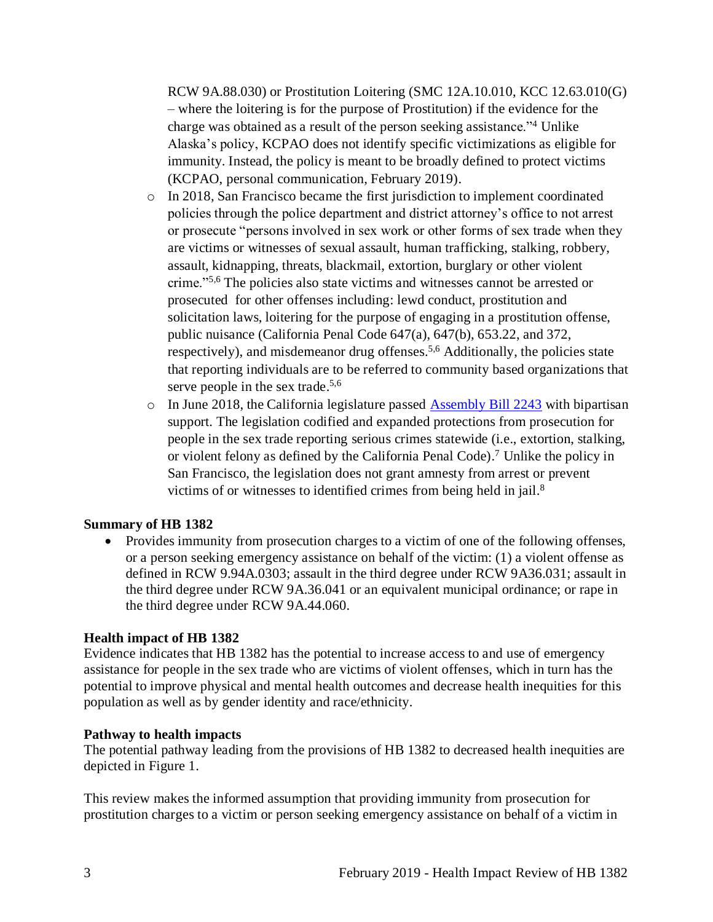RCW 9A.88.030) or Prostitution Loitering (SMC 12A.10.010, KCC 12.63.010(G) – where the loitering is for the purpose of Prostitution) if the evidence for the charge was obtained as a result of the person seeking assistance."<sup>4</sup> Unlike Alaska's policy, KCPAO does not identify specific victimizations as eligible for immunity. Instead, the policy is meant to be broadly defined to protect victims (KCPAO, personal communication, February 2019).

- $\circ$  In 2018, San Francisco became the first jurisdiction to implement coordinated policies through the police department and district attorney's office to not arrest or prosecute "persons involved in sex work or other forms of sex trade when they are victims or witnesses of sexual assault, human trafficking, stalking, robbery, assault, kidnapping, threats, blackmail, extortion, burglary or other violent crime."[5,](#page-19-0)[6](#page-20-0) The policies also state victims and witnesses cannot be arrested or prosecuted for other offenses including: lewd conduct, prostitution and solicitation laws, loitering for the purpose of engaging in a prostitution offense, public nuisance (California Penal Code 647(a), 647(b), 653.22, and 372, respectively), and misdemeanor drug offenses.<sup>[5](#page-19-0)[,6](#page-20-0)</sup> Additionally, the policies state that reporting individuals are to be referred to community based organizations that serve people in the sex trade.<sup>[5,](#page-19-0)[6](#page-20-0)</sup>
- o In June 2018, the California legislature passed [Assembly Bill 2243](https://leginfo.legislature.ca.gov/faces/billTextClient.xhtml?bill_id=201720180AB2243) with bipartisan support. The legislation codified and expanded protections from prosecution for people in the sex trade reporting serious crimes statewide (i.e., extortion, stalking, or violent felony as defined by the California Penal Code). <sup>7</sup> Unlike the policy in San Francisco, the legislation does not grant amnesty from arrest or prevent victims of or witnesses to identified crimes from being held in jail.<sup>8</sup>

## **Summary of HB 1382**

• Provides immunity from prosecution charges to a victim of one of the following offenses, or a person seeking emergency assistance on behalf of the victim: (1) a violent offense as defined in RCW 9.94A.0303; assault in the third degree under RCW 9A36.031; assault in the third degree under RCW 9A.36.041 or an equivalent municipal ordinance; or rape in the third degree under RCW 9A.44.060.

#### **Health impact of HB 1382**

Evidence indicates that HB 1382 has the potential to increase access to and use of emergency assistance for people in the sex trade who are victims of violent offenses, which in turn has the potential to improve physical and mental health outcomes and decrease health inequities for this population as well as by gender identity and race/ethnicity.

#### **Pathway to health impacts**

The potential pathway leading from the provisions of HB 1382 to decreased health inequities are depicted in Figure 1.

This review makes the informed assumption that providing immunity from prosecution for prostitution charges to a victim or person seeking emergency assistance on behalf of a victim in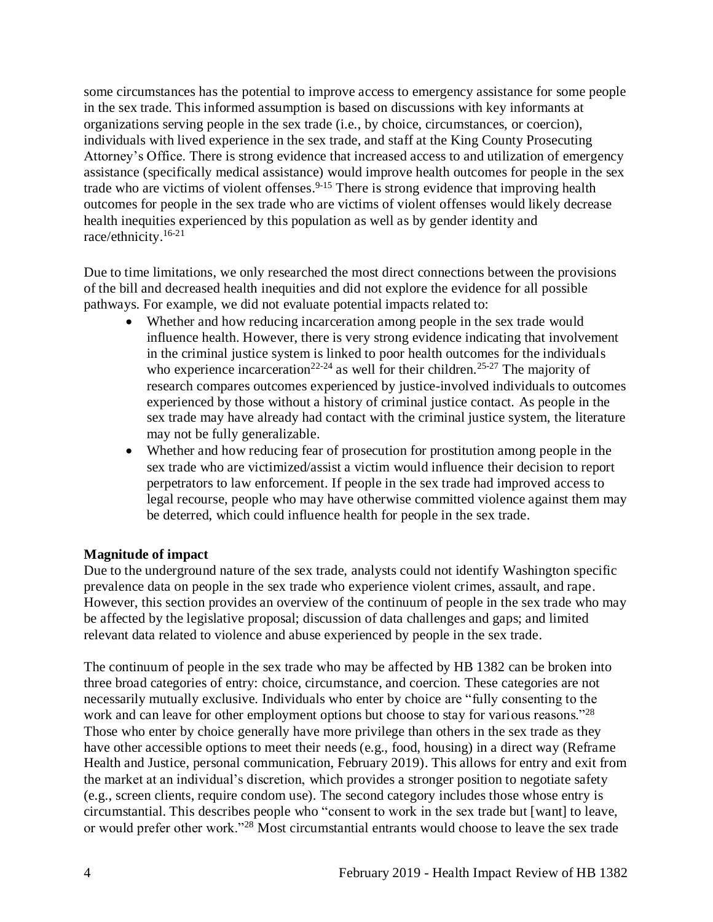some circumstances has the potential to improve access to emergency assistance for some people in the sex trade. This informed assumption is based on discussions with key informants at organizations serving people in the sex trade (i.e., by choice, circumstances, or coercion), individuals with lived experience in the sex trade, and staff at the King County Prosecuting Attorney's Office. There is strong evidence that increased access to and utilization of emergency assistance (specifically medical assistance) would improve health outcomes for people in the sex trade who are victims of violent offenses.<sup>9-15</sup> There is strong evidence that improving health outcomes for people in the sex trade who are victims of violent offenses would likely decrease health inequities experienced by this population as well as by gender identity and race/ethnicity. 16-21

Due to time limitations, we only researched the most direct connections between the provisions of the bill and decreased health inequities and did not explore the evidence for all possible pathways. For example, we did not evaluate potential impacts related to:

- Whether and how reducing incarceration among people in the sex trade would influence health. However, there is very strong evidence indicating that involvement in the criminal justice system is linked to poor health outcomes for the individuals who experience incarceration<sup>22-24</sup> as well for their children.<sup>25-27</sup> The majority of research compares outcomes experienced by justice-involved individuals to outcomes experienced by those without a history of criminal justice contact. As people in the sex trade may have already had contact with the criminal justice system, the literature may not be fully generalizable.
- Whether and how reducing fear of prosecution for prostitution among people in the sex trade who are victimized/assist a victim would influence their decision to report perpetrators to law enforcement. If people in the sex trade had improved access to legal recourse, people who may have otherwise committed violence against them may be deterred, which could influence health for people in the sex trade.

#### **Magnitude of impact**

Due to the underground nature of the sex trade, analysts could not identify Washington specific prevalence data on people in the sex trade who experience violent crimes, assault, and rape. However, this section provides an overview of the continuum of people in the sex trade who may be affected by the legislative proposal; discussion of data challenges and gaps; and limited relevant data related to violence and abuse experienced by people in the sex trade.

The continuum of people in the sex trade who may be affected by HB 1382 can be broken into three broad categories of entry: choice, circumstance, and coercion. These categories are not necessarily mutually exclusive. Individuals who enter by choice are "fully consenting to the work and can leave for other employment options but choose to stay for various reasons."<sup>28</sup> Those who enter by choice generally have more privilege than others in the sex trade as they have other accessible options to meet their needs (e.g., food, housing) in a direct way (Reframe Health and Justice, personal communication, February 2019). This allows for entry and exit from the market at an individual's discretion, which provides a stronger position to negotiate safety (e.g., screen clients, require condom use). The second category includes those whose entry is circumstantial. This describes people who "consent to work in the sex trade but [want] to leave, or would prefer other work."<sup>28</sup> Most circumstantial entrants would choose to leave the sex trade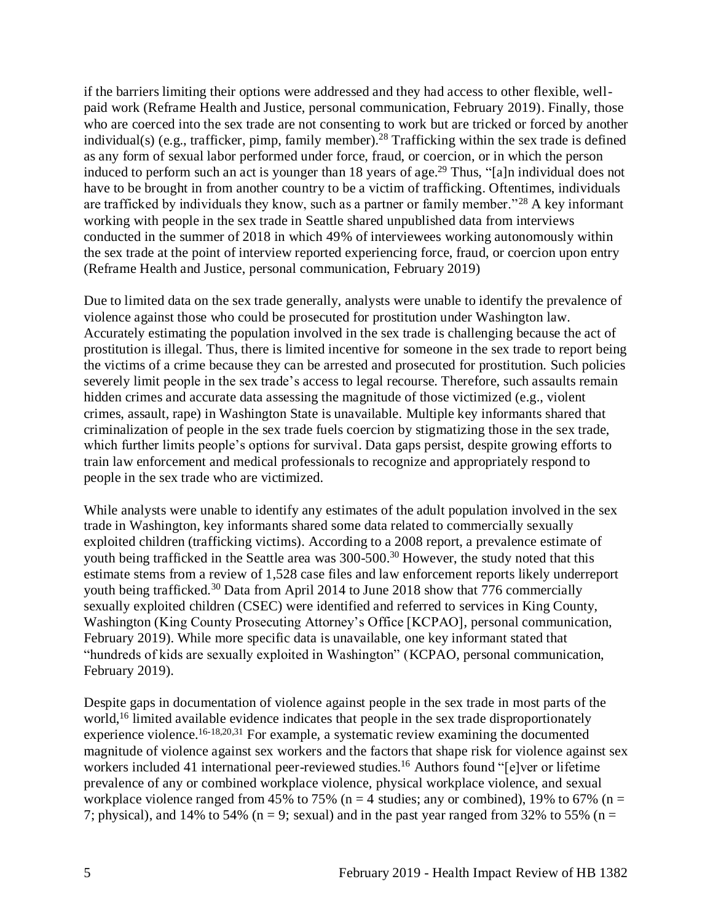if the barriers limiting their options were addressed and they had access to other flexible, wellpaid work (Reframe Health and Justice, personal communication, February 2019). Finally, those who are coerced into the sex trade are not consenting to work but are tricked or forced by another individual(s) (e.g., trafficker, pimp, family member). <sup>28</sup> Trafficking within the sex trade is defined as any form of sexual labor performed under force, fraud, or coercion, or in which the person induced to perform such an act is younger than 18 years of age. <sup>29</sup> Thus, "[a]n individual does not have to be brought in from another country to be a victim of trafficking. Oftentimes, individuals are trafficked by individuals they know, such as a partner or family member."<sup>28</sup> A key informant working with people in the sex trade in Seattle shared unpublished data from interviews conducted in the summer of 2018 in which 49% of interviewees working autonomously within the sex trade at the point of interview reported experiencing force, fraud, or coercion upon entry (Reframe Health and Justice, personal communication, February 2019)

Due to limited data on the sex trade generally, analysts were unable to identify the prevalence of violence against those who could be prosecuted for prostitution under Washington law. Accurately estimating the population involved in the sex trade is challenging because the act of prostitution is illegal. Thus, there is limited incentive for someone in the sex trade to report being the victims of a crime because they can be arrested and prosecuted for prostitution. Such policies severely limit people in the sex trade's access to legal recourse. Therefore, such assaults remain hidden crimes and accurate data assessing the magnitude of those victimized (e.g., violent crimes, assault, rape) in Washington State is unavailable. Multiple key informants shared that criminalization of people in the sex trade fuels coercion by stigmatizing those in the sex trade, which further limits people's options for survival. Data gaps persist, despite growing efforts to train law enforcement and medical professionals to recognize and appropriately respond to people in the sex trade who are victimized.

While analysts were unable to identify any estimates of the adult population involved in the sex trade in Washington, key informants shared some data related to commercially sexually exploited children (trafficking victims). According to a 2008 report, a prevalence estimate of youth being trafficked in the Seattle area was  $300-500<sup>30</sup>$  However, the study noted that this estimate stems from a review of 1,528 case files and law enforcement reports likely underreport youth being trafficked.<sup>30</sup> Data from April 2014 to June 2018 show that 776 commercially sexually exploited children (CSEC) were identified and referred to services in King County, Washington (King County Prosecuting Attorney's Office [KCPAO], personal communication, February 2019). While more specific data is unavailable, one key informant stated that "hundreds of kids are sexually exploited in Washington" (KCPAO, personal communication, February 2019).

Despite gaps in documentation of violence against people in the sex trade in most parts of the world,<sup>16</sup> limited available evidence indicates that people in the sex trade disproportionately experience violence.<sup>[16-18,](#page-24-0)[20,](#page-27-0)[31](#page-31-0)</sup> For example, a systematic review examining the documented magnitude of violence against sex workers and the factors that shape risk for violence against sex workers included 41 international peer-reviewed studies.<sup>16</sup> Authors found "[e]ver or lifetime prevalence of any or combined workplace violence, physical workplace violence, and sexual workplace violence ranged from 45% to 75% ( $n = 4$  studies; any or combined), 19% to 67% ( $n =$ 7; physical), and 14% to 54% ( $n = 9$ ; sexual) and in the past year ranged from 32% to 55% ( $n =$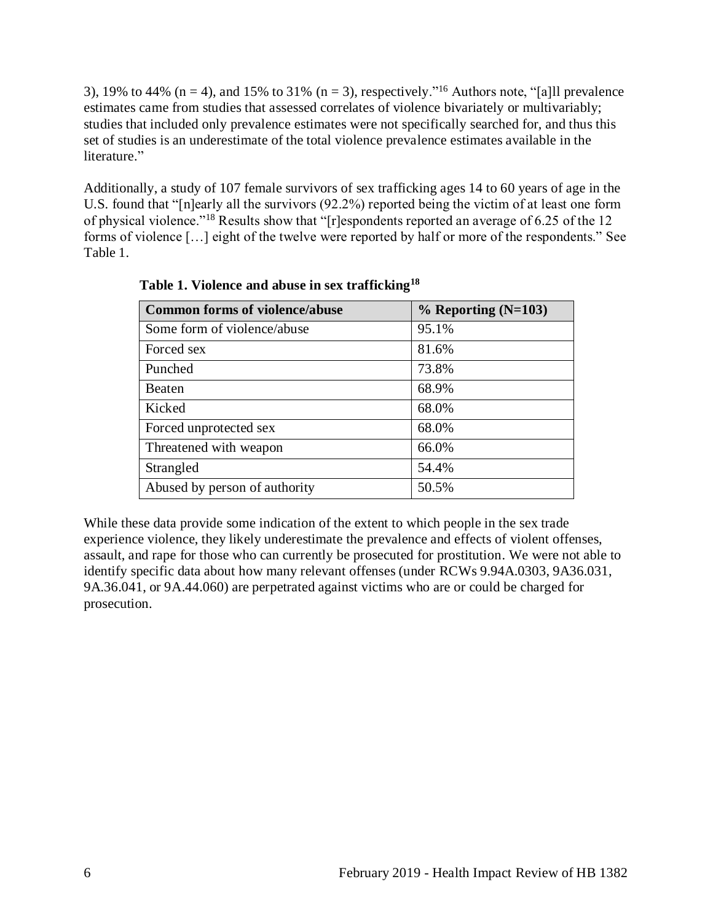3), 19% to 44% ( $n = 4$ ), and 15% to 31% ( $n = 3$ ), respectively."<sup>16</sup> Authors note, "[a] prevalence estimates came from studies that assessed correlates of violence bivariately or multivariably; studies that included only prevalence estimates were not specifically searched for, and thus this set of studies is an underestimate of the total violence prevalence estimates available in the literature."

Additionally, a study of 107 female survivors of sex trafficking ages 14 to 60 years of age in the U.S. found that "[n]early all the survivors (92.2%) reported being the victim of at least one form of physical violence."<sup>18</sup> Results show that "[r]espondents reported an average of 6.25 of the 12 forms of violence […] eight of the twelve were reported by half or more of the respondents." See Table 1.

| <b>Common forms of violence/abuse</b> | $%$ Reporting (N=103) |
|---------------------------------------|-----------------------|
| Some form of violence/abuse           | 95.1%                 |
| Forced sex                            | 81.6%                 |
| Punched                               | 73.8%                 |
| Beaten                                | 68.9%                 |
| Kicked                                | 68.0%                 |
| Forced unprotected sex                | 68.0%                 |
| Threatened with weapon                | 66.0%                 |
| Strangled                             | 54.4%                 |
| Abused by person of authority         | 50.5%                 |

 **Table 1. Violence and abuse in sex trafficking<sup>18</sup>**

While these data provide some indication of the extent to which people in the sex trade experience violence, they likely underestimate the prevalence and effects of violent offenses, assault, and rape for those who can currently be prosecuted for prostitution. We were not able to identify specific data about how many relevant offenses (under RCWs 9.94A.0303, 9A36.031, 9A.36.041, or 9A.44.060) are perpetrated against victims who are or could be charged for prosecution.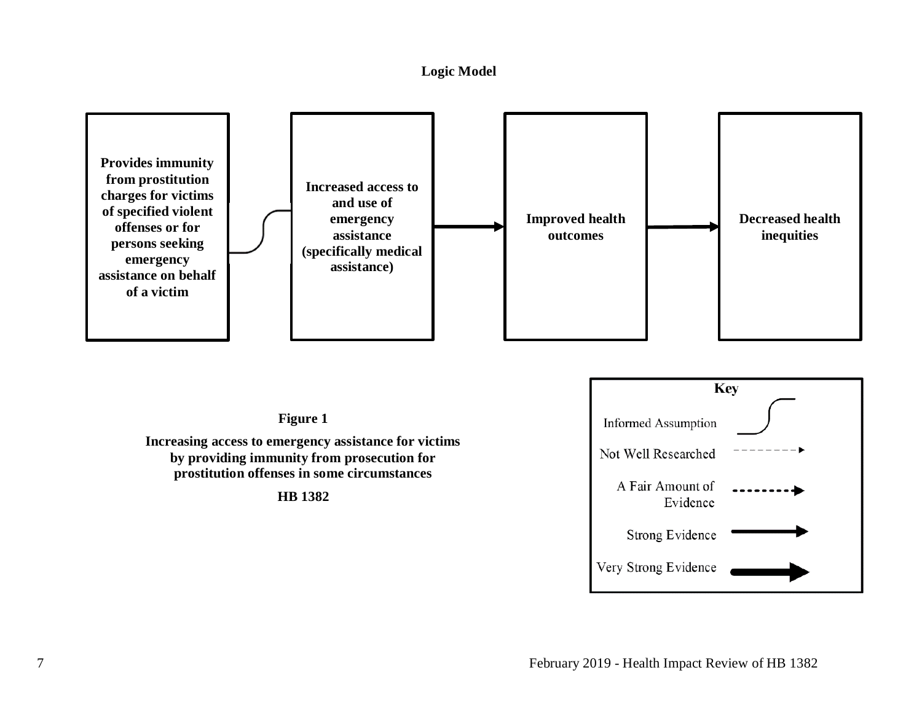#### **Logic Model**

<span id="page-9-0"></span>

**Figure 1**

**Increasing access to emergency assistance for victims by providing immunity from prosecution for prostitution offenses in some circumstances**

**HB 1382**

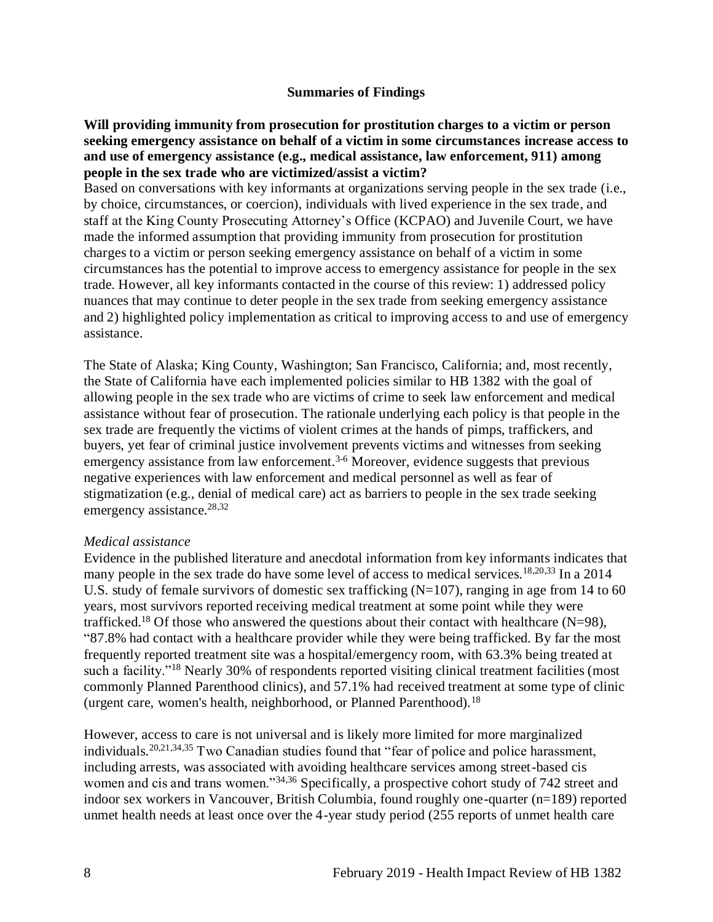#### **Summaries of Findings**

<span id="page-10-0"></span>**Will providing immunity from prosecution for prostitution charges to a victim or person seeking emergency assistance on behalf of a victim in some circumstances increase access to and use of emergency assistance (e.g., medical assistance, law enforcement, 911) among people in the sex trade who are victimized/assist a victim?** 

Based on conversations with key informants at organizations serving people in the sex trade (i.e., by choice, circumstances, or coercion), individuals with lived experience in the sex trade, and staff at the King County Prosecuting Attorney's Office (KCPAO) and Juvenile Court, we have made the informed assumption that providing immunity from prosecution for prostitution charges to a victim or person seeking emergency assistance on behalf of a victim in some circumstances has the potential to improve access to emergency assistance for people in the sex trade. However, all key informants contacted in the course of this review: 1) addressed policy nuances that may continue to deter people in the sex trade from seeking emergency assistance and 2) highlighted policy implementation as critical to improving access to and use of emergency assistance.

The State of Alaska; King County, Washington; San Francisco, California; and, most recently, the State of California have each implemented policies similar to HB 1382 with the goal of allowing people in the sex trade who are victims of crime to seek law enforcement and medical assistance without fear of prosecution. The rationale underlying each policy is that people in the sex trade are frequently the victims of violent crimes at the hands of pimps, traffickers, and buyers, yet fear of criminal justice involvement prevents victims and witnesses from seeking emergency assistance from law enforcement.<sup>3-6</sup> Moreover, evidence suggests that previous negative experiences with law enforcement and medical personnel as well as fear of stigmatization (e.g., denial of medical care) act as barriers to people in the sex trade seeking emergency assistance.<sup>[28,](#page-31-1)[32](#page-32-0)</sup>

#### *Medical assistance*

Evidence in the published literature and anecdotal information from key informants indicates that many people in the sex trade do have some level of access to medical services.<sup>[18,](#page-24-1)[20,](#page-27-0)[33](#page-32-1)</sup> In a 2014 U.S. study of female survivors of domestic sex trafficking  $(N=107)$ , ranging in age from 14 to 60 years, most survivors reported receiving medical treatment at some point while they were trafficked.<sup>18</sup> Of those who answered the questions about their contact with healthcare (N=98), "87.8% had contact with a healthcare provider while they were being trafficked. By far the most frequently reported treatment site was a hospital/emergency room, with 63.3% being treated at such a facility."<sup>18</sup> Nearly 30% of respondents reported visiting clinical treatment facilities (most commonly Planned Parenthood clinics), and 57.1% had received treatment at some type of clinic (urgent care, women's health, neighborhood, or Planned Parenthood).<sup>18</sup>

However, access to care is not universal and is likely more limited for more marginalized individuals.<sup>[20,](#page-27-0)[21,](#page-28-0)[34,](#page-33-0)[35](#page-33-1)</sup> Two Canadian studies found that "fear of police and police harassment, including arrests, was associated with avoiding healthcare services among street-based cis women and cis and trans women."<sup>[34,](#page-33-0)[36](#page-33-2)</sup> Specifically, a prospective cohort study of 742 street and indoor sex workers in Vancouver, British Columbia, found roughly one-quarter (n=189) reported unmet health needs at least once over the 4-year study period (255 reports of unmet health care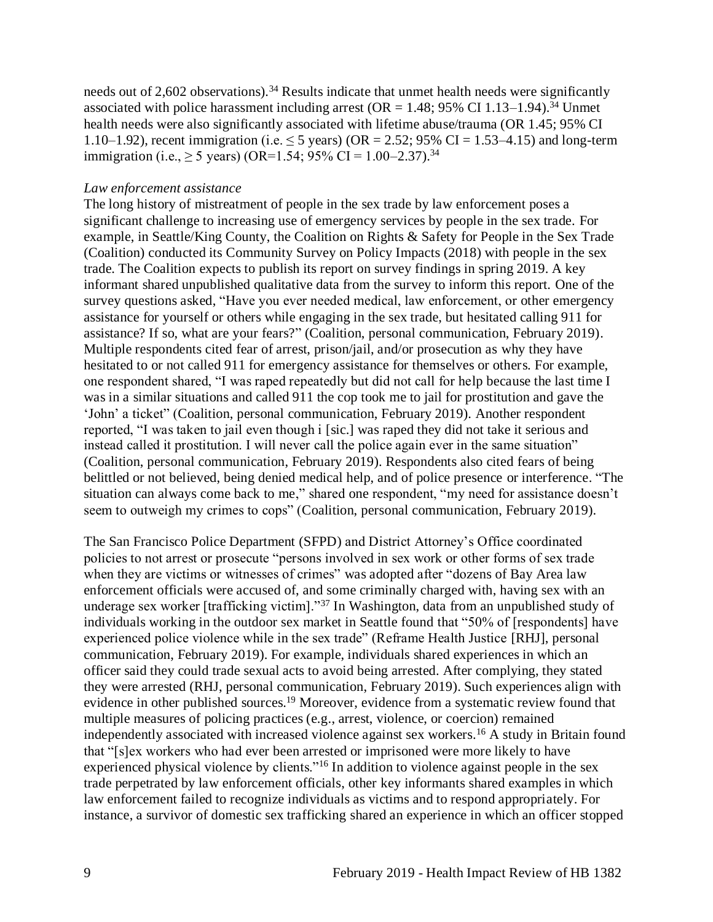needs out of 2,602 observations).<sup>34</sup> Results indicate that unmet health needs were significantly associated with police harassment including arrest ( $OR = 1.48$ ; 95% CI 1.13–1.94).<sup>34</sup> Unmet health needs were also significantly associated with lifetime abuse/trauma (OR 1.45; 95% CI 1.10–1.92), recent immigration (i.e.  $\leq$  5 years) (OR = 2.52; 95% CI = 1.53–4.15) and long-term immigration (i.e.,  $\geq 5$  years) (OR=1.54; 95% CI = 1.00–2.37).<sup>34</sup>

#### *Law enforcement assistance*

The long history of mistreatment of people in the sex trade by law enforcement poses a significant challenge to increasing use of emergency services by people in the sex trade. For example, in Seattle/King County, the Coalition on Rights & Safety for People in the Sex Trade (Coalition) conducted its Community Survey on Policy Impacts (2018) with people in the sex trade. The Coalition expects to publish its report on survey findings in spring 2019. A key informant shared unpublished qualitative data from the survey to inform this report. One of the survey questions asked, "Have you ever needed medical, law enforcement, or other emergency assistance for yourself or others while engaging in the sex trade, but hesitated calling 911 for assistance? If so, what are your fears?" (Coalition, personal communication, February 2019). Multiple respondents cited fear of arrest, prison/jail, and/or prosecution as why they have hesitated to or not called 911 for emergency assistance for themselves or others. For example, one respondent shared, "I was raped repeatedly but did not call for help because the last time I was in a similar situations and called 911 the cop took me to jail for prostitution and gave the 'John' a ticket" (Coalition, personal communication, February 2019). Another respondent reported, "I was taken to jail even though i [sic.] was raped they did not take it serious and instead called it prostitution. I will never call the police again ever in the same situation" (Coalition, personal communication, February 2019). Respondents also cited fears of being belittled or not believed, being denied medical help, and of police presence or interference. "The situation can always come back to me," shared one respondent, "my need for assistance doesn't seem to outweigh my crimes to cops" (Coalition, personal communication, February 2019).

The San Francisco Police Department (SFPD) and District Attorney's Office coordinated policies to not arrest or prosecute "persons involved in sex work or other forms of sex trade when they are victims or witnesses of crimes" was adopted after "dozens of Bay Area law enforcement officials were accused of, and some criminally charged with, having sex with an underage sex worker [trafficking victim]."<sup>37</sup> In Washington, data from an unpublished study of individuals working in the outdoor sex market in Seattle found that "50% of [respondents] have experienced police violence while in the sex trade" (Reframe Health Justice [RHJ], personal communication, February 2019). For example, individuals shared experiences in which an officer said they could trade sexual acts to avoid being arrested. After complying, they stated they were arrested (RHJ, personal communication, February 2019). Such experiences align with evidence in other published sources.<sup>19</sup> Moreover, evidence from a systematic review found that multiple measures of policing practices (e.g., arrest, violence, or coercion) remained independently associated with increased violence against sex workers.<sup>16</sup> A study in Britain found that "[s]ex workers who had ever been arrested or imprisoned were more likely to have experienced physical violence by clients."<sup>16</sup> In addition to violence against people in the sex trade perpetrated by law enforcement officials, other key informants shared examples in which law enforcement failed to recognize individuals as victims and to respond appropriately. For instance, a survivor of domestic sex trafficking shared an experience in which an officer stopped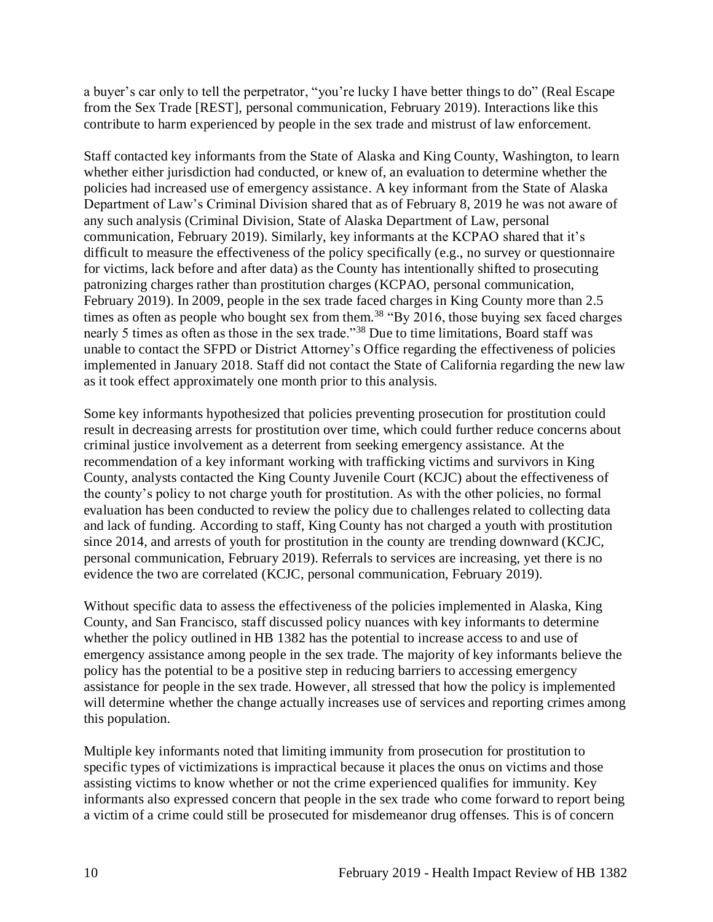a buyer's car only to tell the perpetrator, "you're lucky I have better things to do" (Real Escape from the Sex Trade [REST], personal communication, February 2019). Interactions like this contribute to harm experienced by people in the sex trade and mistrust of law enforcement.

Staff contacted key informants from the State of Alaska and King County, Washington, to learn whether either jurisdiction had conducted, or knew of, an evaluation to determine whether the policies had increased use of emergency assistance. A key informant from the State of Alaska Department of Law's Criminal Division shared that as of February 8, 2019 he was not aware of any such analysis (Criminal Division, State of Alaska Department of Law, personal communication, February 2019). Similarly, key informants at the KCPAO shared that it's difficult to measure the effectiveness of the policy specifically (e.g., no survey or questionnaire for victims, lack before and after data) as the County has intentionally shifted to prosecuting patronizing charges rather than prostitution charges (KCPAO, personal communication, February 2019). In 2009, people in the sex trade faced charges in King County more than 2.5 times as often as people who bought sex from them.<sup>38</sup> "By 2016, those buying sex faced charges nearly 5 times as often as those in the sex trade."<sup>38</sup> Due to time limitations, Board staff was unable to contact the SFPD or District Attorney's Office regarding the effectiveness of policies implemented in January 2018. Staff did not contact the State of California regarding the new law as it took effect approximately one month prior to this analysis.

Some key informants hypothesized that policies preventing prosecution for prostitution could result in decreasing arrests for prostitution over time, which could further reduce concerns about criminal justice involvement as a deterrent from seeking emergency assistance. At the recommendation of a key informant working with trafficking victims and survivors in King County, analysts contacted the King County Juvenile Court (KCJC) about the effectiveness of the county's policy to not charge youth for prostitution. As with the other policies, no formal evaluation has been conducted to review the policy due to challenges related to collecting data and lack of funding. According to staff, King County has not charged a youth with prostitution since 2014, and arrests of youth for prostitution in the county are trending downward (KCJC, personal communication, February 2019). Referrals to services are increasing, yet there is no evidence the two are correlated (KCJC, personal communication, February 2019).

Without specific data to assess the effectiveness of the policies implemented in Alaska, King County, and San Francisco, staff discussed policy nuances with key informants to determine whether the policy outlined in HB 1382 has the potential to increase access to and use of emergency assistance among people in the sex trade. The majority of key informants believe the policy has the potential to be a positive step in reducing barriers to accessing emergency assistance for people in the sex trade. However, all stressed that how the policy is implemented will determine whether the change actually increases use of services and reporting crimes among this population.

Multiple key informants noted that limiting immunity from prosecution for prostitution to specific types of victimizations is impractical because it places the onus on victims and those assisting victims to know whether or not the crime experienced qualifies for immunity. Key informants also expressed concern that people in the sex trade who come forward to report being a victim of a crime could still be prosecuted for misdemeanor drug offenses. This is of concern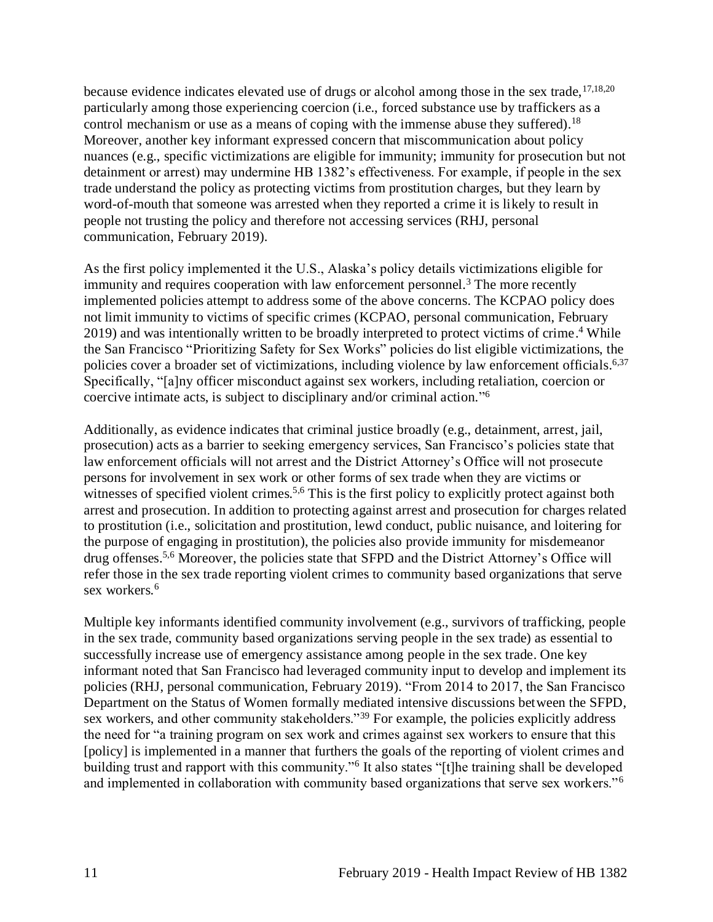because evidence indicates elevated use of drugs or alcohol among those in the sex trade,  $17,18,20$  $17,18,20$  $17,18,20$ particularly among those experiencing coercion (i.e., forced substance use by traffickers as a control mechanism or use as a means of coping with the immense abuse they suffered).<sup>18</sup> Moreover, another key informant expressed concern that miscommunication about policy nuances (e.g., specific victimizations are eligible for immunity; immunity for prosecution but not detainment or arrest) may undermine HB 1382's effectiveness. For example, if people in the sex trade understand the policy as protecting victims from prostitution charges, but they learn by word-of-mouth that someone was arrested when they reported a crime it is likely to result in people not trusting the policy and therefore not accessing services (RHJ, personal communication, February 2019).

As the first policy implemented it the U.S., Alaska's policy details victimizations eligible for immunity and requires cooperation with law enforcement personnel.<sup>3</sup> The more recently implemented policies attempt to address some of the above concerns. The KCPAO policy does not limit immunity to victims of specific crimes (KCPAO, personal communication, February 2019) and was intentionally written to be broadly interpreted to protect victims of crime. <sup>4</sup> While the San Francisco "Prioritizing Safety for Sex Works" policies do list eligible victimizations, the policies cover a broader set of victimizations, including violence by law enforcement officials.<sup>[6](#page-20-0)[,37](#page-34-0)</sup> Specifically, "[a]ny officer misconduct against sex workers, including retaliation, coercion or coercive intimate acts, is subject to disciplinary and/or criminal action." 6

Additionally, as evidence indicates that criminal justice broadly (e.g., detainment, arrest, jail, prosecution) acts as a barrier to seeking emergency services, San Francisco's policies state that law enforcement officials will not arrest and the District Attorney's Office will not prosecute persons for involvement in sex work or other forms of sex trade when they are victims or witnesses of specified violent crimes.<sup>[5,](#page-19-0)[6](#page-20-0)</sup> This is the first policy to explicitly protect against both arrest and prosecution. In addition to protecting against arrest and prosecution for charges related to prostitution (i.e., solicitation and prostitution, lewd conduct, public nuisance, and loitering for the purpose of engaging in prostitution), the policies also provide immunity for misdemeanor drug offenses.[5,](#page-19-0)[6](#page-20-0) Moreover, the policies state that SFPD and the District Attorney's Office will refer those in the sex trade reporting violent crimes to community based organizations that serve sex workers.<sup>6</sup>

Multiple key informants identified community involvement (e.g., survivors of trafficking, people in the sex trade, community based organizations serving people in the sex trade) as essential to successfully increase use of emergency assistance among people in the sex trade. One key informant noted that San Francisco had leveraged community input to develop and implement its policies (RHJ, personal communication, February 2019). "From 2014 to 2017, the San Francisco Department on the Status of Women formally mediated intensive discussions between the SFPD, sex workers, and other community stakeholders."<sup>39</sup> For example, the policies explicitly address the need for "a training program on sex work and crimes against sex workers to ensure that this [policy] is implemented in a manner that furthers the goals of the reporting of violent crimes and building trust and rapport with this community."<sup>6</sup> It also states "[t]he training shall be developed and implemented in collaboration with community based organizations that serve sex workers."6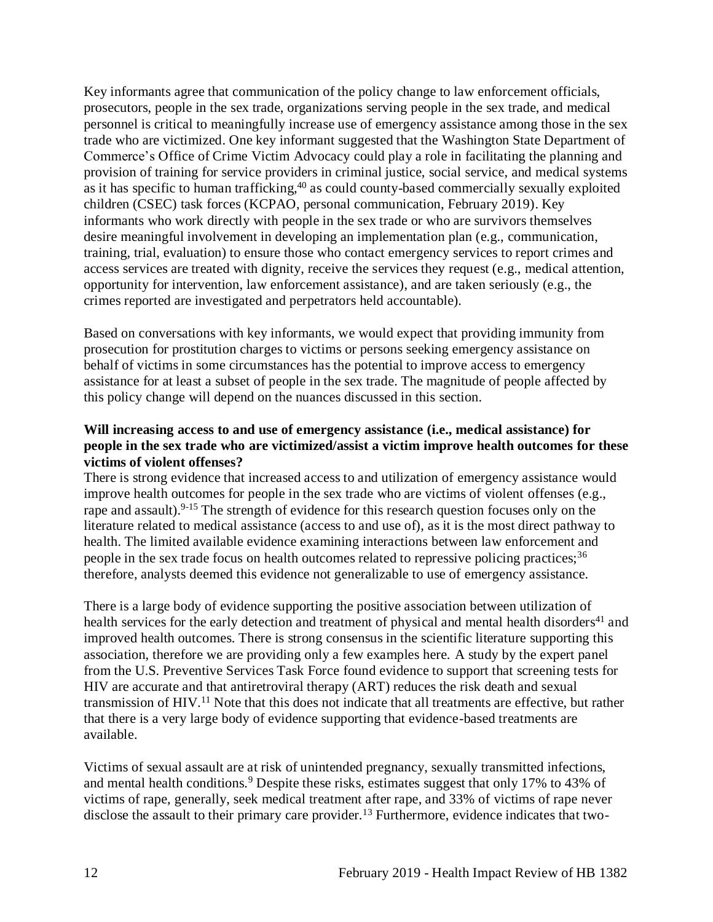Key informants agree that communication of the policy change to law enforcement officials, prosecutors, people in the sex trade, organizations serving people in the sex trade, and medical personnel is critical to meaningfully increase use of emergency assistance among those in the sex trade who are victimized. One key informant suggested that the Washington State Department of Commerce's Office of Crime Victim Advocacy could play a role in facilitating the planning and provision of training for service providers in criminal justice, social service, and medical systems as it has specific to human trafficking,<sup>40</sup> as could county-based commercially sexually exploited children (CSEC) task forces (KCPAO, personal communication, February 2019). Key informants who work directly with people in the sex trade or who are survivors themselves desire meaningful involvement in developing an implementation plan (e.g., communication, training, trial, evaluation) to ensure those who contact emergency services to report crimes and access services are treated with dignity, receive the services they request (e.g., medical attention, opportunity for intervention, law enforcement assistance), and are taken seriously (e.g., the crimes reported are investigated and perpetrators held accountable).

Based on conversations with key informants, we would expect that providing immunity from prosecution for prostitution charges to victims or persons seeking emergency assistance on behalf of victims in some circumstances has the potential to improve access to emergency assistance for at least a subset of people in the sex trade. The magnitude of people affected by this policy change will depend on the nuances discussed in this section.

#### **Will increasing access to and use of emergency assistance (i.e., medical assistance) for people in the sex trade who are victimized/assist a victim improve health outcomes for these victims of violent offenses?**

There is strong evidence that increased access to and utilization of emergency assistance would improve health outcomes for people in the sex trade who are victims of violent offenses (e.g., rape and assault).<sup>9-15</sup> The strength of evidence for this research question focuses only on the literature related to medical assistance (access to and use of), as it is the most direct pathway to health. The limited available evidence examining interactions between law enforcement and people in the sex trade focus on health outcomes related to repressive policing practices;<sup>36</sup> therefore, analysts deemed this evidence not generalizable to use of emergency assistance.

There is a large body of evidence supporting the positive association between utilization of health services for the early detection and treatment of physical and mental health disorders<sup>41</sup> and improved health outcomes. There is strong consensus in the scientific literature supporting this association, therefore we are providing only a few examples here. A study by the expert panel from the U.S. Preventive Services Task Force found evidence to support that screening tests for HIV are accurate and that antiretroviral therapy (ART) reduces the risk death and sexual transmission of HIV.<sup>11</sup> Note that this does not indicate that all treatments are effective, but rather that there is a very large body of evidence supporting that evidence-based treatments are available.

Victims of sexual assault are at risk of unintended pregnancy, sexually transmitted infections, and mental health conditions.<sup>9</sup> Despite these risks, estimates suggest that only 17% to 43% of victims of rape, generally, seek medical treatment after rape, and 33% of victims of rape never disclose the assault to their primary care provider.<sup>13</sup> Furthermore, evidence indicates that two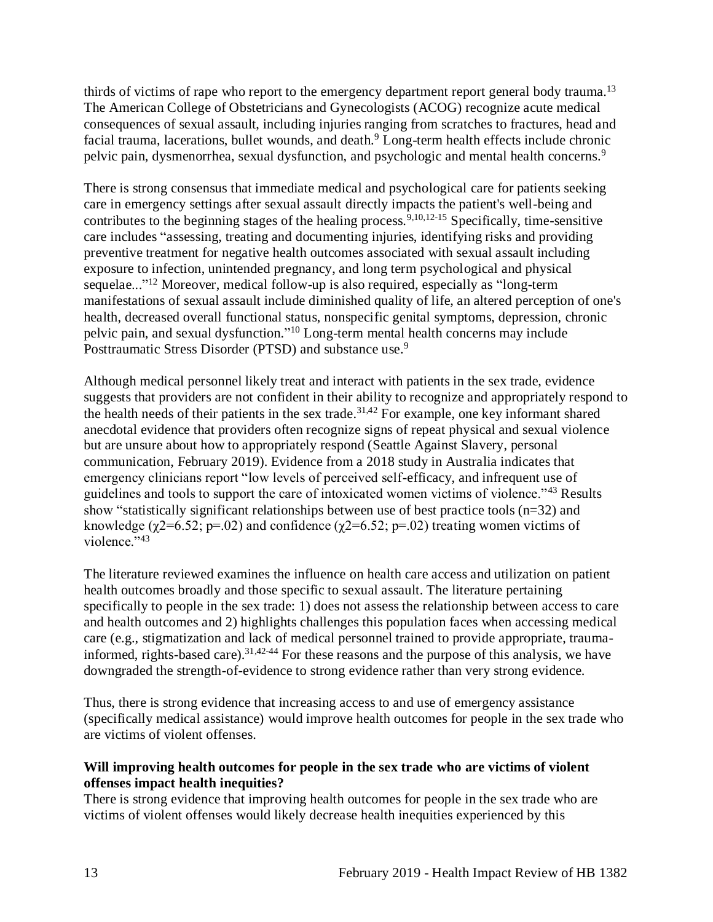thirds of victims of rape who report to the emergency department report general body trauma.<sup>13</sup> The American College of Obstetricians and Gynecologists (ACOG) recognize acute medical consequences of sexual assault, including injuries ranging from scratches to fractures, head and facial trauma, lacerations, bullet wounds, and death.<sup>9</sup> Long-term health effects include chronic pelvic pain, dysmenorrhea, sexual dysfunction, and psychologic and mental health concerns.<sup>9</sup>

There is strong consensus that immediate medical and psychological care for patients seeking care in emergency settings after sexual assault directly impacts the patient's well-being and contributes to the beginning stages of the healing process.<sup>[9,](#page-21-0)[10,](#page-21-1)[12-15](#page-22-0)</sup> Specifically, time-sensitive care includes "assessing, treating and documenting injuries, identifying risks and providing preventive treatment for negative health outcomes associated with sexual assault including exposure to infection, unintended pregnancy, and long term psychological and physical sequelae..."<sup>12</sup> Moreover, medical follow-up is also required, especially as "long-term manifestations of sexual assault include diminished quality of life, an altered perception of one's health, decreased overall functional status, nonspecific genital symptoms, depression, chronic pelvic pain, and sexual dysfunction." <sup>10</sup> Long-term mental health concerns may include Posttraumatic Stress Disorder (PTSD) and substance use.<sup>9</sup>

Although medical personnel likely treat and interact with patients in the sex trade, evidence suggests that providers are not confident in their ability to recognize and appropriately respond to the health needs of their patients in the sex trade.<sup>[31,](#page-31-0)[42](#page-35-0)</sup> For example, one key informant shared anecdotal evidence that providers often recognize signs of repeat physical and sexual violence but are unsure about how to appropriately respond (Seattle Against Slavery, personal communication, February 2019). Evidence from a 2018 study in Australia indicates that emergency clinicians report "low levels of perceived self-efficacy, and infrequent use of guidelines and tools to support the care of intoxicated women victims of violence."<sup>43</sup> Results show "statistically significant relationships between use of best practice tools (n=32) and knowledge ( $\gamma$ 2=6.52; p=.02) and confidence ( $\gamma$ 2=6.52; p=.02) treating women victims of violence." 43

The literature reviewed examines the influence on health care access and utilization on patient health outcomes broadly and those specific to sexual assault. The literature pertaining specifically to people in the sex trade: 1) does not assess the relationship between access to care and health outcomes and 2) highlights challenges this population faces when accessing medical care (e.g., stigmatization and lack of medical personnel trained to provide appropriate, traumainformed, rights-based care).[31,](#page-31-0)[42-44](#page-35-0) For these reasons and the purpose of this analysis, we have downgraded the strength-of-evidence to strong evidence rather than very strong evidence.

Thus, there is strong evidence that increasing access to and use of emergency assistance (specifically medical assistance) would improve health outcomes for people in the sex trade who are victims of violent offenses.

#### **Will improving health outcomes for people in the sex trade who are victims of violent offenses impact health inequities?**

<span id="page-15-0"></span>There is strong evidence that improving health outcomes for people in the sex trade who are victims of violent offenses would likely decrease health inequities experienced by this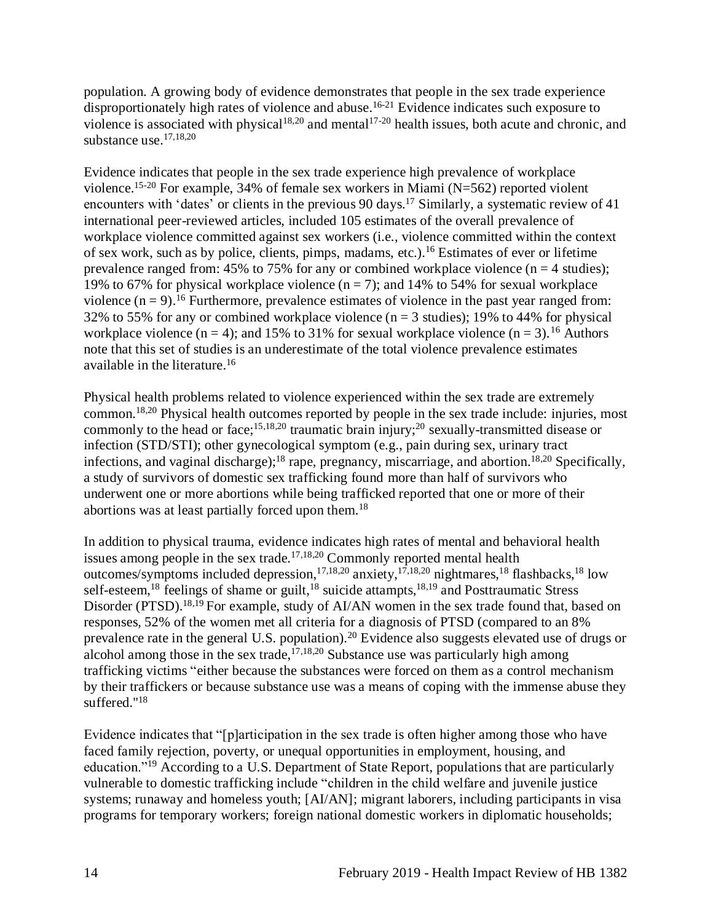population. A growing body of evidence demonstrates that people in the sex trade experience disproportionately high rates of violence and abuse.<sup>16-21</sup> Evidence indicates such exposure to violence is associated with physical<sup>[18,](#page-24-1)[20](#page-27-0)</sup> and mental<sup>17-20</sup> health issues, both acute and chronic, and substance use.[17,](#page-24-2)[18,](#page-24-1)[20](#page-27-0)

Evidence indicates that people in the sex trade experience high prevalence of workplace violence.<sup>15-20</sup> For example, 34% of female sex workers in Miami ( $N=562$ ) reported violent encounters with 'dates' or clients in the previous 90 days.<sup>17</sup> Similarly, a systematic review of 41 international peer-reviewed articles, included 105 estimates of the overall prevalence of workplace violence committed against sex workers (i.e., violence committed within the context of sex work, such as by police, clients, pimps, madams, etc.). <sup>16</sup> Estimates of ever or lifetime prevalence ranged from: 45% to 75% for any or combined workplace violence ( $n = 4$  studies); 19% to 67% for physical workplace violence  $(n = 7)$ ; and 14% to 54% for sexual workplace violence  $(n = 9)$ .<sup>16</sup> Furthermore, prevalence estimates of violence in the past year ranged from: 32% to 55% for any or combined workplace violence ( $n = 3$  studies); 19% to 44% for physical workplace violence (n = 4); and 15% to 31% for sexual workplace violence (n = 3).<sup>16</sup> Authors note that this set of studies is an underestimate of the total violence prevalence estimates available in the literature.<sup>16</sup>

Physical health problems related to violence experienced within the sex trade are extremely common.[18,](#page-24-1)[20](#page-27-0) Physical health outcomes reported by people in the sex trade include: injuries, most commonly to the head or face;<sup>[15,](#page-23-0)[18,](#page-24-1)[20](#page-27-0)</sup> traumatic brain injury;<sup>20</sup> sexually-transmitted disease or infection (STD/STI); other gynecological symptom (e.g., pain during sex, urinary tract infections, and vaginal discharge);<sup>[18](#page-24-1)</sup> rape, pregnancy, miscarriage, and abortion.<sup>18[,20](#page-27-0)</sup> Specifically, a study of survivors of domestic sex trafficking found more than half of survivors who underwent one or more abortions while being trafficked reported that one or more of their abortions was at least partially forced upon them.<sup>18</sup>

In addition to physical trauma, evidence indicates high rates of mental and behavioral health issues among people in the sex trade.<sup>[17,](#page-24-2)[18,](#page-24-1)[20](#page-27-0)</sup> Commonly reported mental health outcomes/symptoms included depression,<sup>[17,](#page-24-2)[18,](#page-24-1)[20](#page-27-0)</sup> anxiety,<sup>17,18,20</sup> nightmares,<sup>18</sup> flashbacks,<sup>18</sup> low self-esteem,<sup>18</sup> feelings of shame or guilt,<sup>18</sup> suicide attampts,<sup>[18,](#page-24-1)[19](#page-26-0)</sup> and Posttraumatic Stress Disorder (PTSD).<sup>[18,](#page-24-1)[19](#page-26-0)</sup> For example, study of AI/AN women in the sex trade found that, based on responses, 52% of the women met all criteria for a diagnosis of PTSD (compared to an 8% prevalence rate in the general U.S. population).<sup>20</sup> Evidence also suggests elevated use of drugs or alcohol among those in the sex trade,  $17,18,20$  $17,18,20$  $17,18,20$  Substance use was particularly high among trafficking victims "either because the substances were forced on them as a control mechanism by their traffickers or because substance use was a means of coping with the immense abuse they suffered."<sup>18</sup>

Evidence indicates that "[p]articipation in the sex trade is often higher among those who have faced family rejection, poverty, or unequal opportunities in employment, housing, and education."<sup>19</sup> According to a U.S. Department of State Report, populations that are particularly vulnerable to domestic trafficking include "children in the child welfare and juvenile justice systems; runaway and homeless youth; [AI/AN]; migrant laborers, including participants in visa programs for temporary workers; foreign national domestic workers in diplomatic households;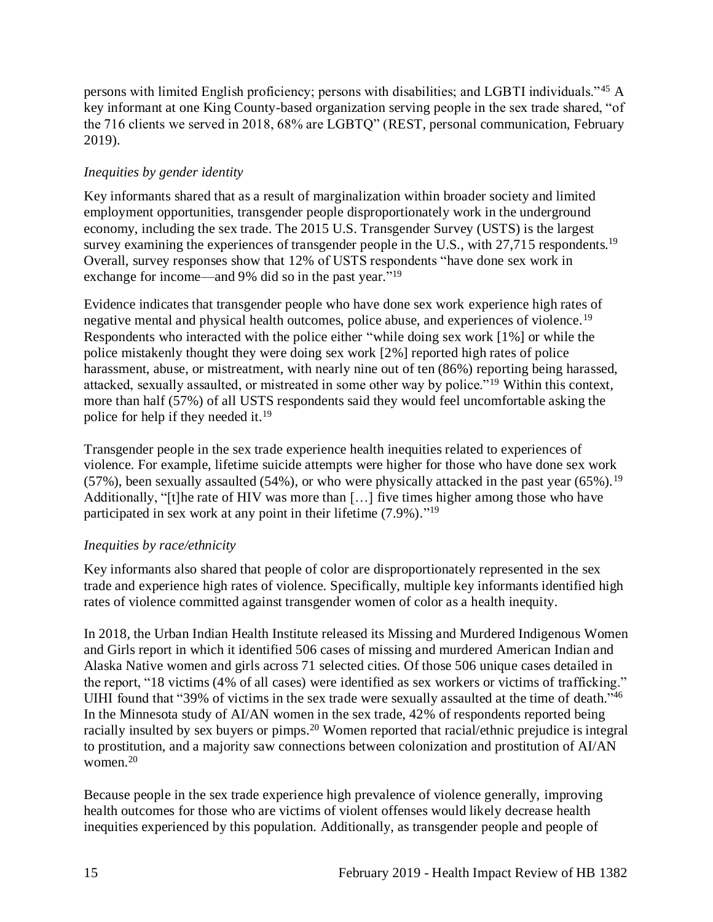persons with limited English proficiency; persons with disabilities; and LGBTI individuals."<sup>45</sup> A key informant at one King County-based organization serving people in the sex trade shared, "of the 716 clients we served in 2018, 68% are LGBTQ" (REST, personal communication, February 2019).

## *Inequities by gender identity*

Key informants shared that as a result of marginalization within broader society and limited employment opportunities, transgender people disproportionately work in the underground economy, including the sex trade. The 2015 U.S. Transgender Survey (USTS) is the largest survey examining the experiences of transgender people in the U.S., with  $27.715$  respondents.<sup>19</sup> Overall, survey responses show that 12% of USTS respondents "have done sex work in exchange for income—and 9% did so in the past year."<sup>19</sup>

Evidence indicates that transgender people who have done sex work experience high rates of negative mental and physical health outcomes, police abuse, and experiences of violence.<sup>19</sup> Respondents who interacted with the police either "while doing sex work [1%] or while the police mistakenly thought they were doing sex work [2%] reported high rates of police harassment, abuse, or mistreatment, with nearly nine out of ten (86%) reporting being harassed, attacked, sexually assaulted, or mistreated in some other way by police."<sup>19</sup> Within this context, more than half (57%) of all USTS respondents said they would feel uncomfortable asking the police for help if they needed it.<sup>19</sup>

Transgender people in the sex trade experience health inequities related to experiences of violence. For example, lifetime suicide attempts were higher for those who have done sex work (57%), been sexually assaulted (54%), or who were physically attacked in the past year (65%).<sup>19</sup> Additionally, "[t]he rate of HIV was more than […] five times higher among those who have participated in sex work at any point in their lifetime (7.9%)."<sup>19</sup>

## *Inequities by race/ethnicity*

Key informants also shared that people of color are disproportionately represented in the sex trade and experience high rates of violence. Specifically, multiple key informants identified high rates of violence committed against transgender women of color as a health inequity.

In 2018, the Urban Indian Health Institute released its Missing and Murdered Indigenous Women and Girls report in which it identified 506 cases of missing and murdered American Indian and Alaska Native women and girls across 71 selected cities. Of those 506 unique cases detailed in the report, "18 victims (4% of all cases) were identified as sex workers or victims of trafficking." UIHI found that "39% of victims in the sex trade were sexually assaulted at the time of death."<sup>46</sup> In the Minnesota study of AI/AN women in the sex trade, 42% of respondents reported being racially insulted by sex buyers or pimps.<sup>20</sup> Women reported that racial/ethnic prejudice is integral to prostitution, and a majority saw connections between colonization and prostitution of AI/AN women.<sup>20</sup>

Because people in the sex trade experience high prevalence of violence generally, improving health outcomes for those who are victims of violent offenses would likely decrease health inequities experienced by this population. Additionally, as transgender people and people of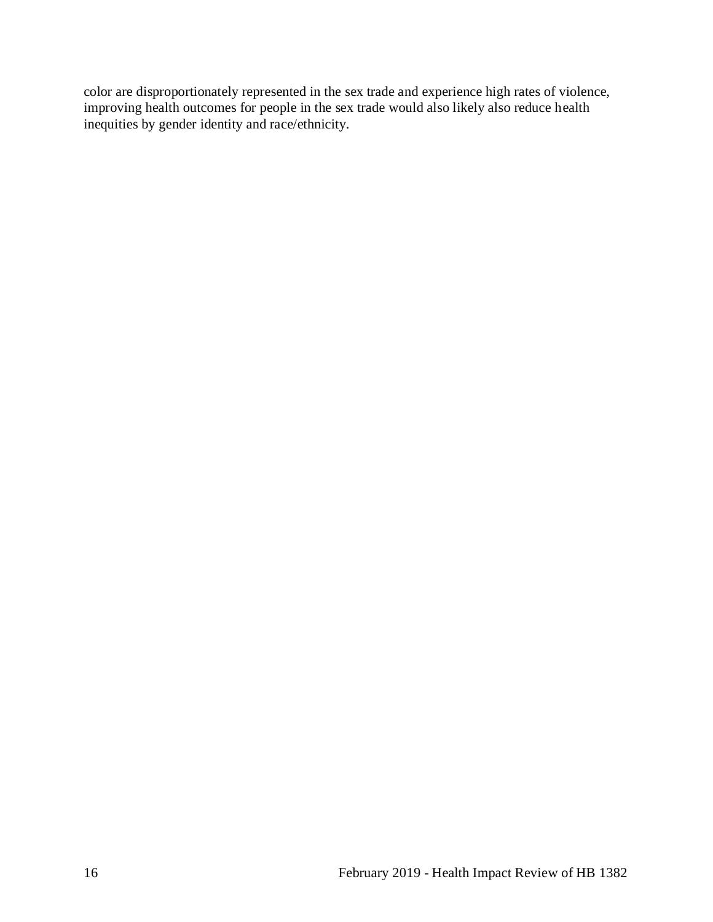color are disproportionately represented in the sex trade and experience high rates of violence, improving health outcomes for people in the sex trade would also likely also reduce health inequities by gender identity and race/ethnicity.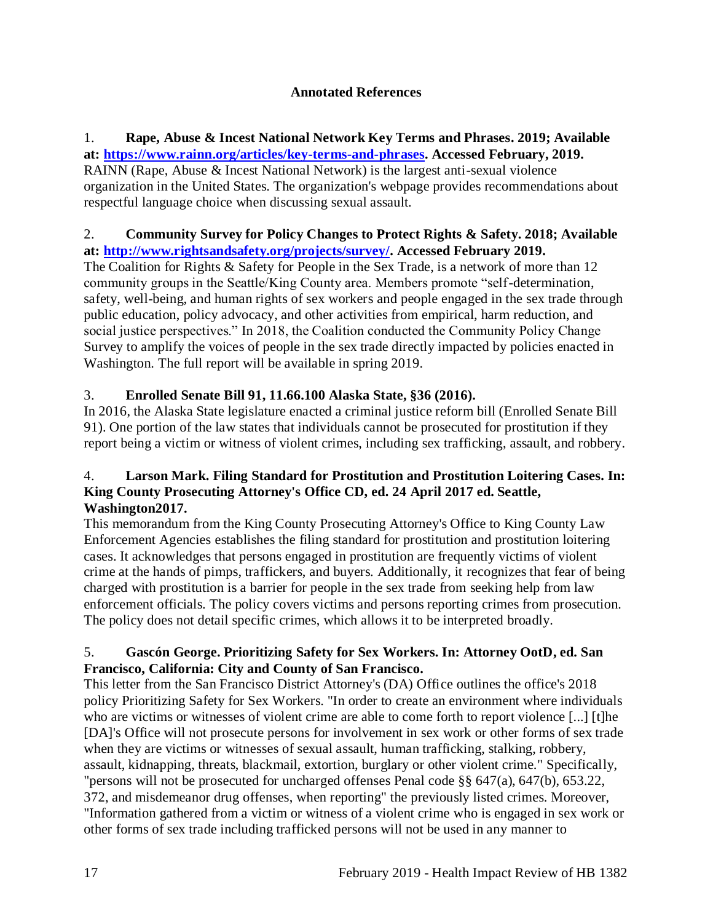## **Annotated References**

#### 1. **Rape, Abuse & Incest National Network Key Terms and Phrases. 2019; Available at: [https://www.rainn.org/articles/key-terms-and-phrases.](https://www.rainn.org/articles/key-terms-and-phrases) Accessed February, 2019.**

RAINN (Rape, Abuse & Incest National Network) is the largest anti-sexual violence organization in the United States. The organization's webpage provides recommendations about respectful language choice when discussing sexual assault.

#### 2. **Community Survey for Policy Changes to Protect Rights & Safety. 2018; Available at: [http://www.rightsandsafety.org/projects/survey/.](http://www.rightsandsafety.org/projects/survey/) Accessed February 2019.**

The Coalition for Rights & Safety for People in the Sex Trade, is a network of more than 12 community groups in the Seattle/King County area. Members promote "self-determination, safety, well-being, and human rights of sex workers and people engaged in the sex trade through public education, policy advocacy, and other activities from empirical, harm reduction, and social justice perspectives." In 2018, the Coalition conducted the Community Policy Change Survey to amplify the voices of people in the sex trade directly impacted by policies enacted in Washington. The full report will be available in spring 2019.

# 3. **Enrolled Senate Bill 91, 11.66.100 Alaska State, §36 (2016).**

In 2016, the Alaska State legislature enacted a criminal justice reform bill (Enrolled Senate Bill 91). One portion of the law states that individuals cannot be prosecuted for prostitution if they report being a victim or witness of violent crimes, including sex trafficking, assault, and robbery.

## 4. **Larson Mark. Filing Standard for Prostitution and Prostitution Loitering Cases. In: King County Prosecuting Attorney's Office CD, ed. 24 April 2017 ed. Seattle, Washington2017.**

This memorandum from the King County Prosecuting Attorney's Office to King County Law Enforcement Agencies establishes the filing standard for prostitution and prostitution loitering cases. It acknowledges that persons engaged in prostitution are frequently victims of violent crime at the hands of pimps, traffickers, and buyers. Additionally, it recognizes that fear of being charged with prostitution is a barrier for people in the sex trade from seeking help from law enforcement officials. The policy covers victims and persons reporting crimes from prosecution. The policy does not detail specific crimes, which allows it to be interpreted broadly.

#### <span id="page-19-0"></span>5. **Gascón George. Prioritizing Safety for Sex Workers. In: Attorney OotD, ed. San Francisco, California: City and County of San Francisco.**

This letter from the San Francisco District Attorney's (DA) Office outlines the office's 2018 policy Prioritizing Safety for Sex Workers. "In order to create an environment where individuals who are victims or witnesses of violent crime are able to come forth to report violence [...] [t]he [DA]'s Office will not prosecute persons for involvement in sex work or other forms of sex trade when they are victims or witnesses of sexual assault, human trafficking, stalking, robbery, assault, kidnapping, threats, blackmail, extortion, burglary or other violent crime." Specifically, "persons will not be prosecuted for uncharged offenses Penal code §§ 647(a), 647(b), 653.22, 372, and misdemeanor drug offenses, when reporting" the previously listed crimes. Moreover, "Information gathered from a victim or witness of a violent crime who is engaged in sex work or other forms of sex trade including trafficked persons will not be used in any manner to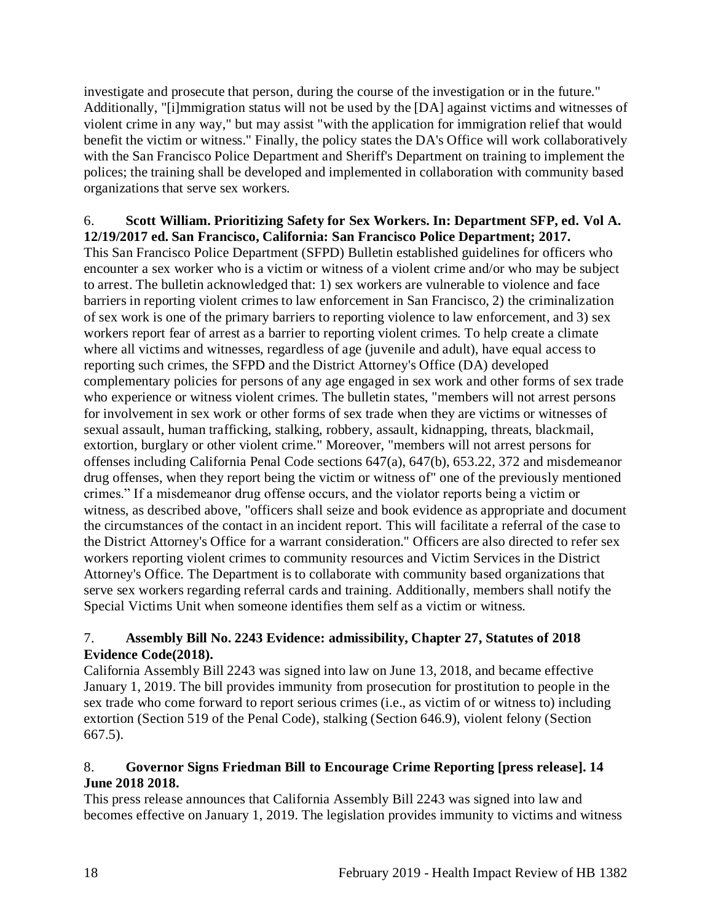investigate and prosecute that person, during the course of the investigation or in the future." Additionally, "[i]mmigration status will not be used by the [DA] against victims and witnesses of violent crime in any way," but may assist "with the application for immigration relief that would benefit the victim or witness." Finally, the policy states the DA's Office will work collaboratively with the San Francisco Police Department and Sheriff's Department on training to implement the polices; the training shall be developed and implemented in collaboration with community based organizations that serve sex workers.

#### <span id="page-20-0"></span>6. **Scott William. Prioritizing Safety for Sex Workers. In: Department SFP, ed***.* **Vol A. 12/19/2017 ed. San Francisco, California: San Francisco Police Department; 2017.**

This San Francisco Police Department (SFPD) Bulletin established guidelines for officers who encounter a sex worker who is a victim or witness of a violent crime and/or who may be subject to arrest. The bulletin acknowledged that: 1) sex workers are vulnerable to violence and face barriers in reporting violent crimes to law enforcement in San Francisco, 2) the criminalization of sex work is one of the primary barriers to reporting violence to law enforcement, and 3) sex workers report fear of arrest as a barrier to reporting violent crimes. To help create a climate where all victims and witnesses, regardless of age (juvenile and adult), have equal access to reporting such crimes, the SFPD and the District Attorney's Office (DA) developed complementary policies for persons of any age engaged in sex work and other forms of sex trade who experience or witness violent crimes. The bulletin states, "members will not arrest persons for involvement in sex work or other forms of sex trade when they are victims or witnesses of sexual assault, human trafficking, stalking, robbery, assault, kidnapping, threats, blackmail, extortion, burglary or other violent crime." Moreover, "members will not arrest persons for offenses including California Penal Code sections 647(a), 647(b), 653.22, 372 and misdemeanor drug offenses, when they report being the victim or witness of" one of the previously mentioned crimes." If a misdemeanor drug offense occurs, and the violator reports being a victim or witness, as described above, "officers shall seize and book evidence as appropriate and document the circumstances of the contact in an incident report. This will facilitate a referral of the case to the District Attorney's Office for a warrant consideration." Officers are also directed to refer sex workers reporting violent crimes to community resources and Victim Services in the District Attorney's Office. The Department is to collaborate with community based organizations that serve sex workers regarding referral cards and training. Additionally, members shall notify the Special Victims Unit when someone identifies them self as a victim or witness.

## 7. **Assembly Bill No. 2243 Evidence: admissibility, Chapter 27, Statutes of 2018 Evidence Code(2018).**

California Assembly Bill 2243 was signed into law on June 13, 2018, and became effective January 1, 2019. The bill provides immunity from prosecution for prostitution to people in the sex trade who come forward to report serious crimes (i.e., as victim of or witness to) including extortion (Section 519 of the Penal Code), stalking (Section 646.9), violent felony (Section 667.5).

## 8. **Governor Signs Friedman Bill to Encourage Crime Reporting [press release]. 14 June 2018 2018.**

This press release announces that California Assembly Bill 2243 was signed into law and becomes effective on January 1, 2019. The legislation provides immunity to victims and witness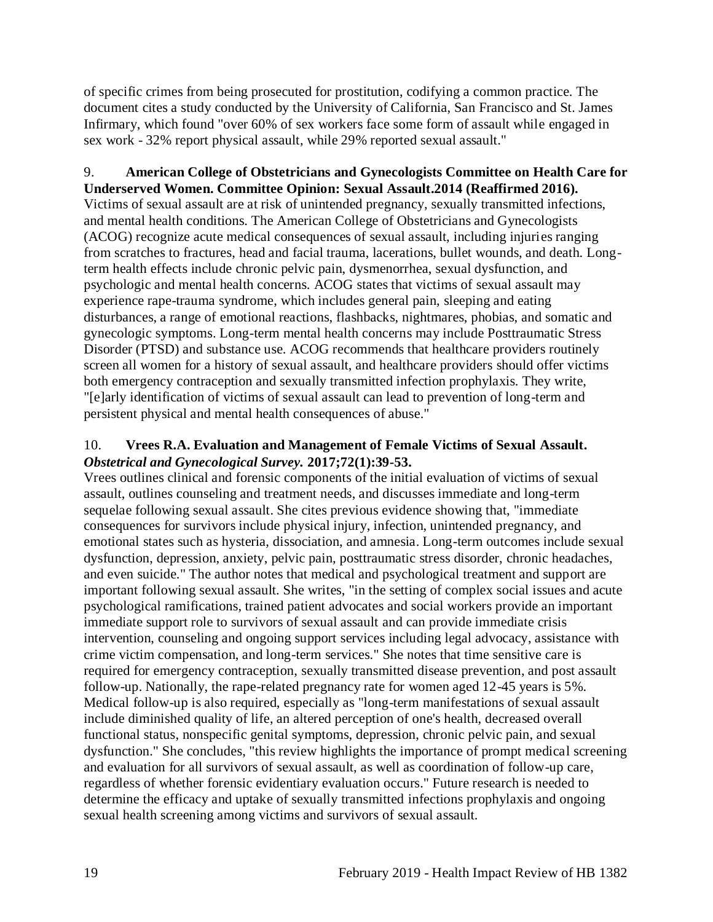of specific crimes from being prosecuted for prostitution, codifying a common practice. The document cites a study conducted by the University of California, San Francisco and St. James Infirmary, which found "over 60% of sex workers face some form of assault while engaged in sex work - 32% report physical assault, while 29% reported sexual assault."

# <span id="page-21-0"></span>9. **American College of Obstetricians and Gynecologists Committee on Health Care for**

**Underserved Women. Committee Opinion: Sexual Assault.2014 (Reaffirmed 2016).** Victims of sexual assault are at risk of unintended pregnancy, sexually transmitted infections, and mental health conditions. The American College of Obstetricians and Gynecologists (ACOG) recognize acute medical consequences of sexual assault, including injuries ranging from scratches to fractures, head and facial trauma, lacerations, bullet wounds, and death. Longterm health effects include chronic pelvic pain, dysmenorrhea, sexual dysfunction, and psychologic and mental health concerns. ACOG states that victims of sexual assault may experience rape-trauma syndrome, which includes general pain, sleeping and eating disturbances, a range of emotional reactions, flashbacks, nightmares, phobias, and somatic and gynecologic symptoms. Long-term mental health concerns may include Posttraumatic Stress Disorder (PTSD) and substance use. ACOG recommends that healthcare providers routinely screen all women for a history of sexual assault, and healthcare providers should offer victims both emergency contraception and sexually transmitted infection prophylaxis. They write, "[e]arly identification of victims of sexual assault can lead to prevention of long-term and persistent physical and mental health consequences of abuse."

## <span id="page-21-1"></span>10. **Vrees R.A. Evaluation and Management of Female Victims of Sexual Assault.**  *Obstetrical and Gynecological Survey.* **2017;72(1):39-53.**

Vrees outlines clinical and forensic components of the initial evaluation of victims of sexual assault, outlines counseling and treatment needs, and discusses immediate and long-term sequelae following sexual assault. She cites previous evidence showing that, "immediate consequences for survivors include physical injury, infection, unintended pregnancy, and emotional states such as hysteria, dissociation, and amnesia. Long-term outcomes include sexual dysfunction, depression, anxiety, pelvic pain, posttraumatic stress disorder, chronic headaches, and even suicide." The author notes that medical and psychological treatment and support are important following sexual assault. She writes, "in the setting of complex social issues and acute psychological ramifications, trained patient advocates and social workers provide an important immediate support role to survivors of sexual assault and can provide immediate crisis intervention, counseling and ongoing support services including legal advocacy, assistance with crime victim compensation, and long-term services." She notes that time sensitive care is required for emergency contraception, sexually transmitted disease prevention, and post assault follow-up. Nationally, the rape-related pregnancy rate for women aged 12-45 years is 5%. Medical follow-up is also required, especially as "long-term manifestations of sexual assault include diminished quality of life, an altered perception of one's health, decreased overall functional status, nonspecific genital symptoms, depression, chronic pelvic pain, and sexual dysfunction." She concludes, "this review highlights the importance of prompt medical screening and evaluation for all survivors of sexual assault, as well as coordination of follow-up care, regardless of whether forensic evidentiary evaluation occurs." Future research is needed to determine the efficacy and uptake of sexually transmitted infections prophylaxis and ongoing sexual health screening among victims and survivors of sexual assault.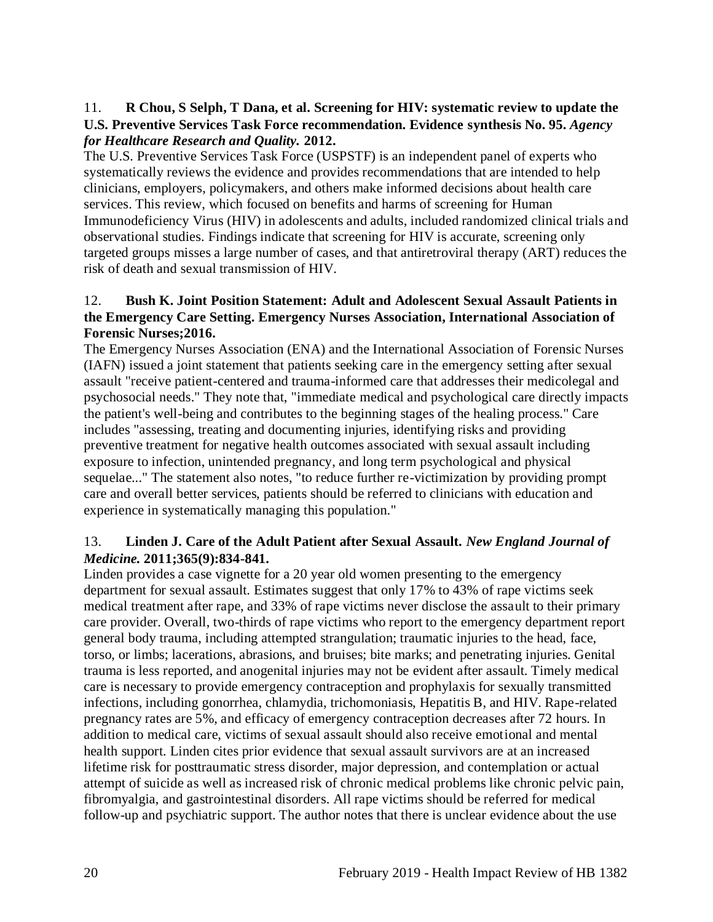## 11. **R Chou, S Selph, T Dana, et al. Screening for HIV: systematic review to update the U.S. Preventive Services Task Force recommendation. Evidence synthesis No. 95.** *Agency for Healthcare Research and Quality.* **2012.**

The U.S. Preventive Services Task Force (USPSTF) is an independent panel of experts who systematically reviews the evidence and provides recommendations that are intended to help clinicians, employers, policymakers, and others make informed decisions about health care services. This review, which focused on benefits and harms of screening for Human Immunodeficiency Virus (HIV) in adolescents and adults, included randomized clinical trials and observational studies. Findings indicate that screening for HIV is accurate, screening only targeted groups misses a large number of cases, and that antiretroviral therapy (ART) reduces the risk of death and sexual transmission of HIV.

## <span id="page-22-0"></span>12. **Bush K. Joint Position Statement: Adult and Adolescent Sexual Assault Patients in the Emergency Care Setting. Emergency Nurses Association, International Association of Forensic Nurses;2016.**

The Emergency Nurses Association (ENA) and the International Association of Forensic Nurses (IAFN) issued a joint statement that patients seeking care in the emergency setting after sexual assault "receive patient-centered and trauma-informed care that addresses their medicolegal and psychosocial needs." They note that, "immediate medical and psychological care directly impacts the patient's well-being and contributes to the beginning stages of the healing process." Care includes "assessing, treating and documenting injuries, identifying risks and providing preventive treatment for negative health outcomes associated with sexual assault including exposure to infection, unintended pregnancy, and long term psychological and physical sequelae..." The statement also notes, "to reduce further re-victimization by providing prompt care and overall better services, patients should be referred to clinicians with education and experience in systematically managing this population."

## 13. **Linden J. Care of the Adult Patient after Sexual Assault.** *New England Journal of Medicine.* **2011;365(9):834-841.**

Linden provides a case vignette for a 20 year old women presenting to the emergency department for sexual assault. Estimates suggest that only 17% to 43% of rape victims seek medical treatment after rape, and 33% of rape victims never disclose the assault to their primary care provider. Overall, two-thirds of rape victims who report to the emergency department report general body trauma, including attempted strangulation; traumatic injuries to the head, face, torso, or limbs; lacerations, abrasions, and bruises; bite marks; and penetrating injuries. Genital trauma is less reported, and anogenital injuries may not be evident after assault. Timely medical care is necessary to provide emergency contraception and prophylaxis for sexually transmitted infections, including gonorrhea, chlamydia, trichomoniasis, Hepatitis B, and HIV. Rape-related pregnancy rates are 5%, and efficacy of emergency contraception decreases after 72 hours. In addition to medical care, victims of sexual assault should also receive emotional and mental health support. Linden cites prior evidence that sexual assault survivors are at an increased lifetime risk for posttraumatic stress disorder, major depression, and contemplation or actual attempt of suicide as well as increased risk of chronic medical problems like chronic pelvic pain, fibromyalgia, and gastrointestinal disorders. All rape victims should be referred for medical follow-up and psychiatric support. The author notes that there is unclear evidence about the use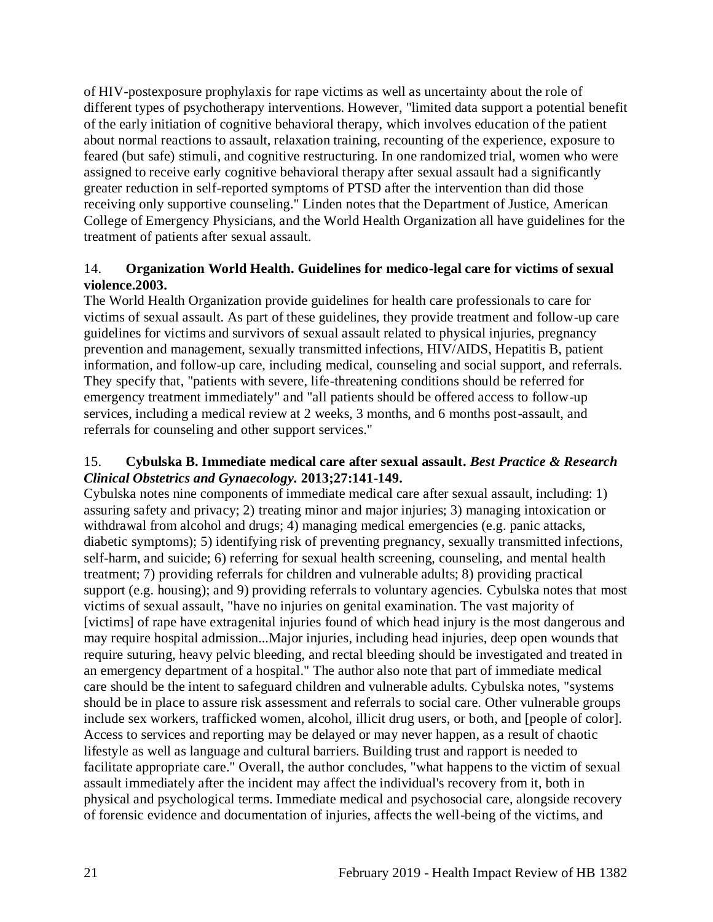of HIV-postexposure prophylaxis for rape victims as well as uncertainty about the role of different types of psychotherapy interventions. However, "limited data support a potential benefit of the early initiation of cognitive behavioral therapy, which involves education of the patient about normal reactions to assault, relaxation training, recounting of the experience, exposure to feared (but safe) stimuli, and cognitive restructuring. In one randomized trial, women who were assigned to receive early cognitive behavioral therapy after sexual assault had a significantly greater reduction in self-reported symptoms of PTSD after the intervention than did those receiving only supportive counseling." Linden notes that the Department of Justice, American College of Emergency Physicians, and the World Health Organization all have guidelines for the treatment of patients after sexual assault.

## 14. **Organization World Health. Guidelines for medico-legal care for victims of sexual violence.2003.**

The World Health Organization provide guidelines for health care professionals to care for victims of sexual assault. As part of these guidelines, they provide treatment and follow-up care guidelines for victims and survivors of sexual assault related to physical injuries, pregnancy prevention and management, sexually transmitted infections, HIV/AIDS, Hepatitis B, patient information, and follow-up care, including medical, counseling and social support, and referrals. They specify that, "patients with severe, life-threatening conditions should be referred for emergency treatment immediately" and "all patients should be offered access to follow-up services, including a medical review at 2 weeks, 3 months, and 6 months post-assault, and referrals for counseling and other support services."

## <span id="page-23-0"></span>15. **Cybulska B. Immediate medical care after sexual assault.** *Best Practice & Research Clinical Obstetrics and Gynaecology.* **2013;27:141-149.**

Cybulska notes nine components of immediate medical care after sexual assault, including: 1) assuring safety and privacy; 2) treating minor and major injuries; 3) managing intoxication or withdrawal from alcohol and drugs; 4) managing medical emergencies (e.g. panic attacks, diabetic symptoms); 5) identifying risk of preventing pregnancy, sexually transmitted infections, self-harm, and suicide; 6) referring for sexual health screening, counseling, and mental health treatment; 7) providing referrals for children and vulnerable adults; 8) providing practical support (e.g. housing); and 9) providing referrals to voluntary agencies. Cybulska notes that most victims of sexual assault, "have no injuries on genital examination. The vast majority of [victims] of rape have extragenital injuries found of which head injury is the most dangerous and may require hospital admission...Major injuries, including head injuries, deep open wounds that require suturing, heavy pelvic bleeding, and rectal bleeding should be investigated and treated in an emergency department of a hospital." The author also note that part of immediate medical care should be the intent to safeguard children and vulnerable adults. Cybulska notes, "systems should be in place to assure risk assessment and referrals to social care. Other vulnerable groups include sex workers, trafficked women, alcohol, illicit drug users, or both, and [people of color]. Access to services and reporting may be delayed or may never happen, as a result of chaotic lifestyle as well as language and cultural barriers. Building trust and rapport is needed to facilitate appropriate care." Overall, the author concludes, "what happens to the victim of sexual assault immediately after the incident may affect the individual's recovery from it, both in physical and psychological terms. Immediate medical and psychosocial care, alongside recovery of forensic evidence and documentation of injuries, affects the well-being of the victims, and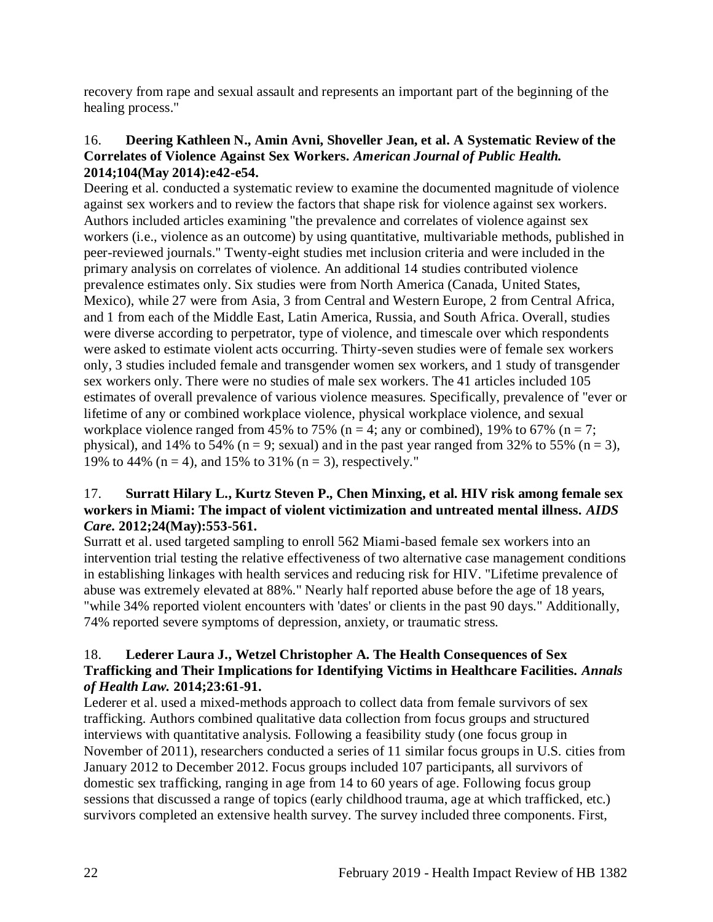recovery from rape and sexual assault and represents an important part of the beginning of the healing process."

#### <span id="page-24-0"></span>16. **Deering Kathleen N., Amin Avni, Shoveller Jean, et al. A Systematic Review of the Correlates of Violence Against Sex Workers.** *American Journal of Public Health.*  **2014;104(May 2014):e42-e54.**

Deering et al. conducted a systematic review to examine the documented magnitude of violence against sex workers and to review the factors that shape risk for violence against sex workers. Authors included articles examining "the prevalence and correlates of violence against sex workers (i.e., violence as an outcome) by using quantitative, multivariable methods, published in peer-reviewed journals." Twenty-eight studies met inclusion criteria and were included in the primary analysis on correlates of violence. An additional 14 studies contributed violence prevalence estimates only. Six studies were from North America (Canada, United States, Mexico), while 27 were from Asia, 3 from Central and Western Europe, 2 from Central Africa, and 1 from each of the Middle East, Latin America, Russia, and South Africa. Overall, studies were diverse according to perpetrator, type of violence, and timescale over which respondents were asked to estimate violent acts occurring. Thirty-seven studies were of female sex workers only, 3 studies included female and transgender women sex workers, and 1 study of transgender sex workers only. There were no studies of male sex workers. The 41 articles included 105 estimates of overall prevalence of various violence measures. Specifically, prevalence of "ever or lifetime of any or combined workplace violence, physical workplace violence, and sexual workplace violence ranged from 45% to 75% (n = 4; any or combined), 19% to 67% (n = 7; physical), and 14% to 54% ( $n = 9$ ; sexual) and in the past year ranged from 32% to 55% ( $n = 3$ ), 19% to 44% ( $n = 4$ ), and 15% to 31% ( $n = 3$ ), respectively."

## <span id="page-24-2"></span>17. **Surratt Hilary L., Kurtz Steven P., Chen Minxing, et al. HIV risk among female sex workers in Miami: The impact of violent victimization and untreated mental illness.** *AIDS Care.* **2012;24(May):553-561.**

Surratt et al. used targeted sampling to enroll 562 Miami-based female sex workers into an intervention trial testing the relative effectiveness of two alternative case management conditions in establishing linkages with health services and reducing risk for HIV. "Lifetime prevalence of abuse was extremely elevated at 88%." Nearly half reported abuse before the age of 18 years, "while 34% reported violent encounters with 'dates' or clients in the past 90 days." Additionally, 74% reported severe symptoms of depression, anxiety, or traumatic stress.

## <span id="page-24-1"></span>18. **Lederer Laura J., Wetzel Christopher A. The Health Consequences of Sex Trafficking and Their Implications for Identifying Victims in Healthcare Facilities.** *Annals of Health Law.* **2014;23:61-91.**

Lederer et al. used a mixed-methods approach to collect data from female survivors of sex trafficking. Authors combined qualitative data collection from focus groups and structured interviews with quantitative analysis. Following a feasibility study (one focus group in November of 2011), researchers conducted a series of 11 similar focus groups in U.S. cities from January 2012 to December 2012. Focus groups included 107 participants, all survivors of domestic sex trafficking, ranging in age from 14 to 60 years of age. Following focus group sessions that discussed a range of topics (early childhood trauma, age at which trafficked, etc.) survivors completed an extensive health survey. The survey included three components. First,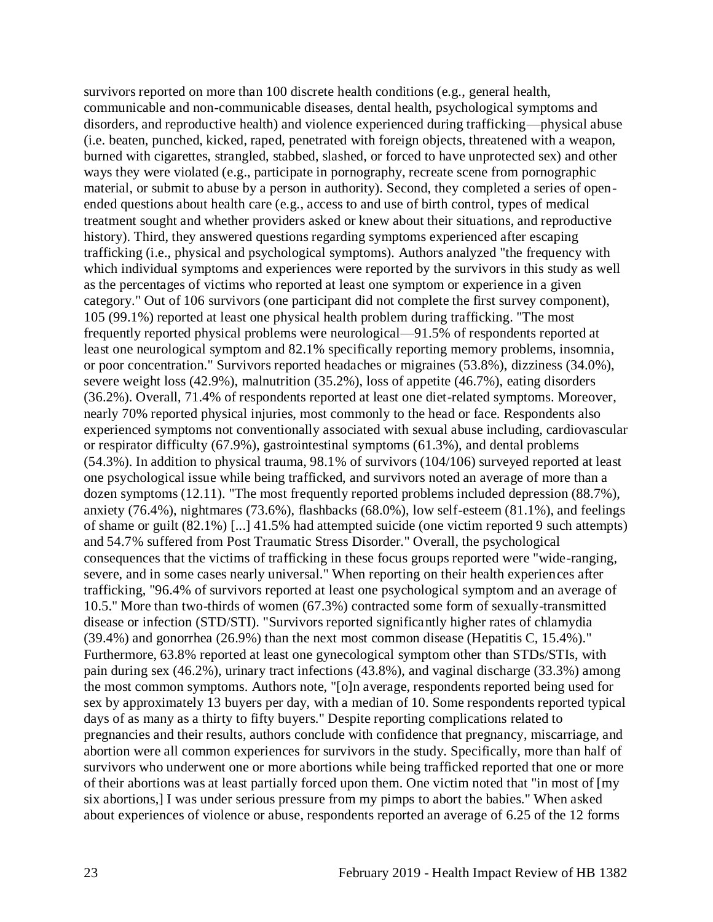survivors reported on more than 100 discrete health conditions (e.g., general health, communicable and non-communicable diseases, dental health, psychological symptoms and disorders, and reproductive health) and violence experienced during trafficking—physical abuse (i.e. beaten, punched, kicked, raped, penetrated with foreign objects, threatened with a weapon, burned with cigarettes, strangled, stabbed, slashed, or forced to have unprotected sex) and other ways they were violated (e.g., participate in pornography, recreate scene from pornographic material, or submit to abuse by a person in authority). Second, they completed a series of openended questions about health care (e.g., access to and use of birth control, types of medical treatment sought and whether providers asked or knew about their situations, and reproductive history). Third, they answered questions regarding symptoms experienced after escaping trafficking (i.e., physical and psychological symptoms). Authors analyzed "the frequency with which individual symptoms and experiences were reported by the survivors in this study as well as the percentages of victims who reported at least one symptom or experience in a given category." Out of 106 survivors (one participant did not complete the first survey component), 105 (99.1%) reported at least one physical health problem during trafficking. "The most frequently reported physical problems were neurological—91.5% of respondents reported at least one neurological symptom and 82.1% specifically reporting memory problems, insomnia, or poor concentration." Survivors reported headaches or migraines (53.8%), dizziness (34.0%), severe weight loss (42.9%), malnutrition (35.2%), loss of appetite (46.7%), eating disorders (36.2%). Overall, 71.4% of respondents reported at least one diet-related symptoms. Moreover, nearly 70% reported physical injuries, most commonly to the head or face. Respondents also experienced symptoms not conventionally associated with sexual abuse including, cardiovascular or respirator difficulty (67.9%), gastrointestinal symptoms (61.3%), and dental problems (54.3%). In addition to physical trauma, 98.1% of survivors (104/106) surveyed reported at least one psychological issue while being trafficked, and survivors noted an average of more than a dozen symptoms (12.11). "The most frequently reported problems included depression (88.7%), anxiety (76.4%), nightmares (73.6%), flashbacks (68.0%), low self-esteem (81.1%), and feelings of shame or guilt (82.1%) [...] 41.5% had attempted suicide (one victim reported 9 such attempts) and 54.7% suffered from Post Traumatic Stress Disorder." Overall, the psychological consequences that the victims of trafficking in these focus groups reported were "wide-ranging, severe, and in some cases nearly universal." When reporting on their health experiences after trafficking, "96.4% of survivors reported at least one psychological symptom and an average of 10.5." More than two-thirds of women (67.3%) contracted some form of sexually-transmitted disease or infection (STD/STI). "Survivors reported significantly higher rates of chlamydia (39.4%) and gonorrhea (26.9%) than the next most common disease (Hepatitis C, 15.4%)." Furthermore, 63.8% reported at least one gynecological symptom other than STDs/STIs, with pain during sex (46.2%), urinary tract infections (43.8%), and vaginal discharge (33.3%) among the most common symptoms. Authors note, "[o]n average, respondents reported being used for sex by approximately 13 buyers per day, with a median of 10. Some respondents reported typical days of as many as a thirty to fifty buyers." Despite reporting complications related to pregnancies and their results, authors conclude with confidence that pregnancy, miscarriage, and abortion were all common experiences for survivors in the study. Specifically, more than half of survivors who underwent one or more abortions while being trafficked reported that one or more of their abortions was at least partially forced upon them. One victim noted that "in most of [my six abortions,] I was under serious pressure from my pimps to abort the babies." When asked about experiences of violence or abuse, respondents reported an average of 6.25 of the 12 forms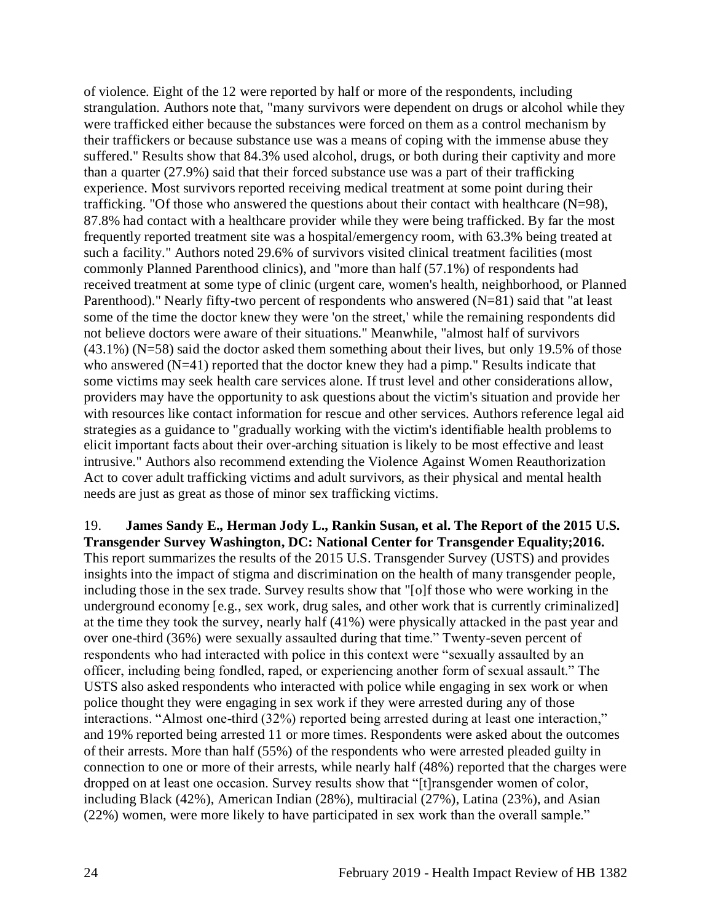of violence. Eight of the 12 were reported by half or more of the respondents, including strangulation. Authors note that, "many survivors were dependent on drugs or alcohol while they were trafficked either because the substances were forced on them as a control mechanism by their traffickers or because substance use was a means of coping with the immense abuse they suffered." Results show that 84.3% used alcohol, drugs, or both during their captivity and more than a quarter (27.9%) said that their forced substance use was a part of their trafficking experience. Most survivors reported receiving medical treatment at some point during their trafficking. "Of those who answered the questions about their contact with healthcare (N=98), 87.8% had contact with a healthcare provider while they were being trafficked. By far the most frequently reported treatment site was a hospital/emergency room, with 63.3% being treated at such a facility." Authors noted 29.6% of survivors visited clinical treatment facilities (most commonly Planned Parenthood clinics), and "more than half (57.1%) of respondents had received treatment at some type of clinic (urgent care, women's health, neighborhood, or Planned Parenthood)." Nearly fifty-two percent of respondents who answered (N=81) said that "at least some of the time the doctor knew they were 'on the street,' while the remaining respondents did not believe doctors were aware of their situations." Meanwhile, "almost half of survivors  $(43.1\%)$  (N=58) said the doctor asked them something about their lives, but only 19.5% of those who answered (N=41) reported that the doctor knew they had a pimp." Results indicate that some victims may seek health care services alone. If trust level and other considerations allow, providers may have the opportunity to ask questions about the victim's situation and provide her with resources like contact information for rescue and other services. Authors reference legal aid strategies as a guidance to "gradually working with the victim's identifiable health problems to elicit important facts about their over-arching situation is likely to be most effective and least intrusive." Authors also recommend extending the Violence Against Women Reauthorization Act to cover adult trafficking victims and adult survivors, as their physical and mental health needs are just as great as those of minor sex trafficking victims.

<span id="page-26-0"></span>19. **James Sandy E., Herman Jody L., Rankin Susan, et al. The Report of the 2015 U.S. Transgender Survey Washington, DC: National Center for Transgender Equality;2016.** This report summarizes the results of the 2015 U.S. Transgender Survey (USTS) and provides insights into the impact of stigma and discrimination on the health of many transgender people, including those in the sex trade. Survey results show that "[o]f those who were working in the underground economy [e.g., sex work, drug sales, and other work that is currently criminalized] at the time they took the survey, nearly half (41%) were physically attacked in the past year and over one-third (36%) were sexually assaulted during that time." Twenty-seven percent of respondents who had interacted with police in this context were "sexually assaulted by an officer, including being fondled, raped, or experiencing another form of sexual assault." The USTS also asked respondents who interacted with police while engaging in sex work or when police thought they were engaging in sex work if they were arrested during any of those interactions. "Almost one-third (32%) reported being arrested during at least one interaction," and 19% reported being arrested 11 or more times. Respondents were asked about the outcomes of their arrests. More than half (55%) of the respondents who were arrested pleaded guilty in connection to one or more of their arrests, while nearly half (48%) reported that the charges were dropped on at least one occasion. Survey results show that "[t]ransgender women of color, including Black (42%), American Indian (28%), multiracial (27%), Latina (23%), and Asian (22%) women, were more likely to have participated in sex work than the overall sample."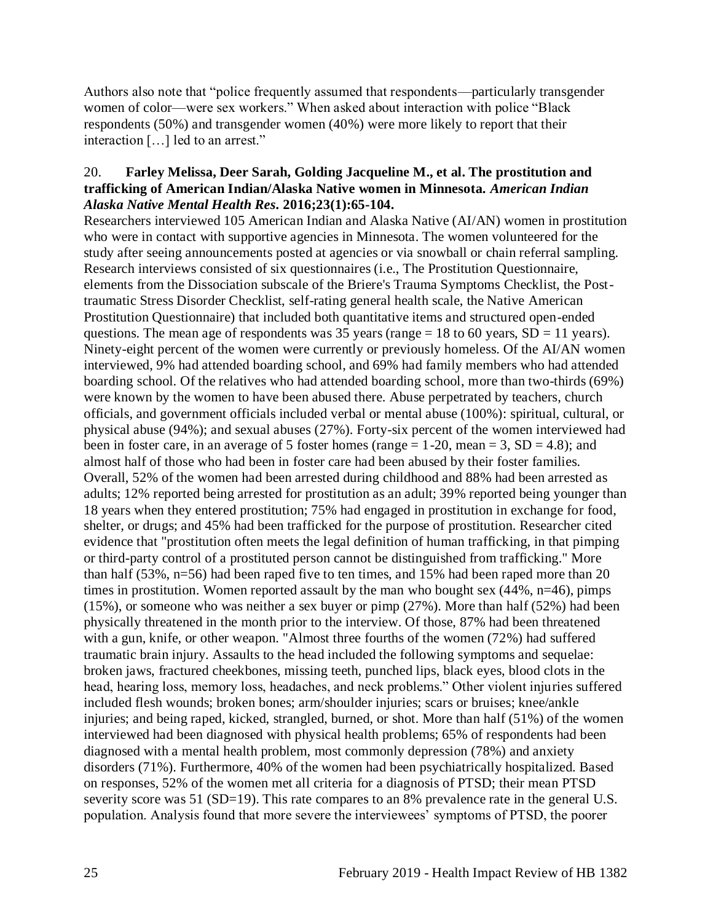Authors also note that "police frequently assumed that respondents—particularly transgender women of color—were sex workers." When asked about interaction with police "Black respondents (50%) and transgender women (40%) were more likely to report that their interaction […] led to an arrest."

#### <span id="page-27-0"></span>20. **Farley Melissa, Deer Sarah, Golding Jacqueline M., et al. The prostitution and trafficking of American Indian/Alaska Native women in Minnesota.** *American Indian Alaska Native Mental Health Res.* **2016;23(1):65-104.**

Researchers interviewed 105 American Indian and Alaska Native (AI/AN) women in prostitution who were in contact with supportive agencies in Minnesota. The women volunteered for the study after seeing announcements posted at agencies or via snowball or chain referral sampling. Research interviews consisted of six questionnaires (i.e., The Prostitution Questionnaire, elements from the Dissociation subscale of the Briere's Trauma Symptoms Checklist, the Posttraumatic Stress Disorder Checklist, self-rating general health scale, the Native American Prostitution Questionnaire) that included both quantitative items and structured open-ended questions. The mean age of respondents was 35 years (range  $= 18$  to 60 years, SD  $= 11$  years). Ninety-eight percent of the women were currently or previously homeless. Of the AI/AN women interviewed, 9% had attended boarding school, and 69% had family members who had attended boarding school. Of the relatives who had attended boarding school, more than two-thirds (69%) were known by the women to have been abused there. Abuse perpetrated by teachers, church officials, and government officials included verbal or mental abuse (100%): spiritual, cultural, or physical abuse (94%); and sexual abuses (27%). Forty-six percent of the women interviewed had been in foster care, in an average of 5 foster homes (range  $= 1-20$ , mean  $= 3$ , SD  $= 4.8$ ); and almost half of those who had been in foster care had been abused by their foster families. Overall, 52% of the women had been arrested during childhood and 88% had been arrested as adults; 12% reported being arrested for prostitution as an adult; 39% reported being younger than 18 years when they entered prostitution; 75% had engaged in prostitution in exchange for food, shelter, or drugs; and 45% had been trafficked for the purpose of prostitution. Researcher cited evidence that "prostitution often meets the legal definition of human trafficking, in that pimping or third-party control of a prostituted person cannot be distinguished from trafficking." More than half (53%, n=56) had been raped five to ten times, and 15% had been raped more than 20 times in prostitution. Women reported assault by the man who bought sex  $(44\%, n=46)$ , pimps (15%), or someone who was neither a sex buyer or pimp (27%). More than half (52%) had been physically threatened in the month prior to the interview. Of those, 87% had been threatened with a gun, knife, or other weapon. "Almost three fourths of the women (72%) had suffered traumatic brain injury. Assaults to the head included the following symptoms and sequelae: broken jaws, fractured cheekbones, missing teeth, punched lips, black eyes, blood clots in the head, hearing loss, memory loss, headaches, and neck problems." Other violent injuries suffered included flesh wounds; broken bones; arm/shoulder injuries; scars or bruises; knee/ankle injuries; and being raped, kicked, strangled, burned, or shot. More than half (51%) of the women interviewed had been diagnosed with physical health problems; 65% of respondents had been diagnosed with a mental health problem, most commonly depression (78%) and anxiety disorders (71%). Furthermore, 40% of the women had been psychiatrically hospitalized. Based on responses, 52% of the women met all criteria for a diagnosis of PTSD; their mean PTSD severity score was 51 (SD=19). This rate compares to an 8% prevalence rate in the general U.S. population. Analysis found that more severe the interviewees' symptoms of PTSD, the poorer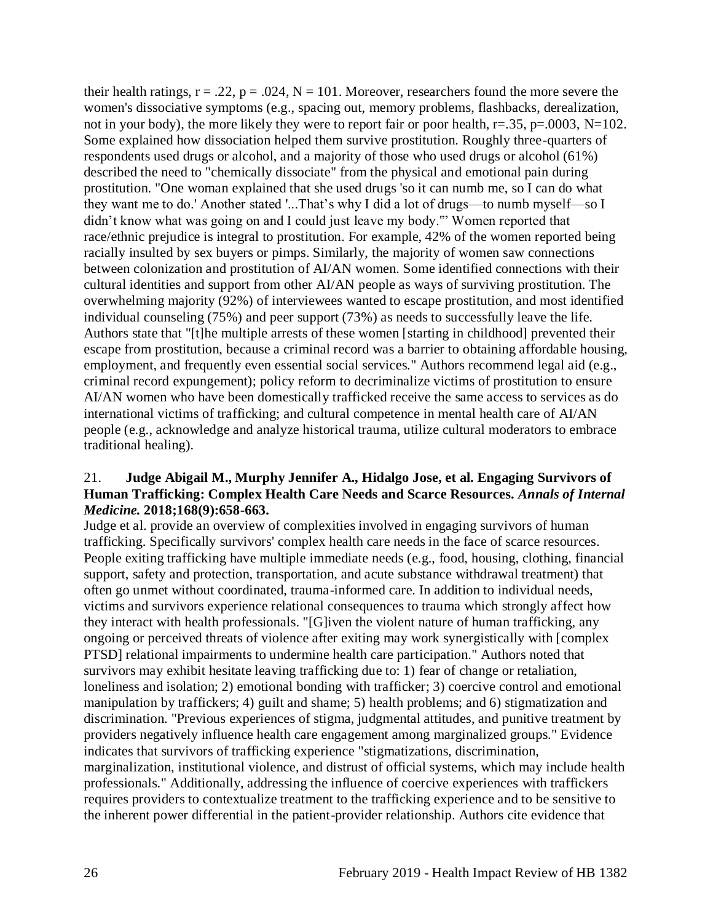their health ratings,  $r = .22$ ,  $p = .024$ ,  $N = 101$ . Moreover, researchers found the more severe the women's dissociative symptoms (e.g., spacing out, memory problems, flashbacks, derealization, not in your body), the more likely they were to report fair or poor health,  $r=.35$ ,  $p=.0003$ ,  $N=102$ . Some explained how dissociation helped them survive prostitution. Roughly three-quarters of respondents used drugs or alcohol, and a majority of those who used drugs or alcohol (61%) described the need to "chemically dissociate" from the physical and emotional pain during prostitution. "One woman explained that she used drugs 'so it can numb me, so I can do what they want me to do.' Another stated '...That's why I did a lot of drugs––to numb myself––so I didn't know what was going on and I could just leave my body.'" Women reported that race/ethnic prejudice is integral to prostitution. For example, 42% of the women reported being racially insulted by sex buyers or pimps. Similarly, the majority of women saw connections between colonization and prostitution of AI/AN women. Some identified connections with their cultural identities and support from other AI/AN people as ways of surviving prostitution. The overwhelming majority (92%) of interviewees wanted to escape prostitution, and most identified individual counseling (75%) and peer support (73%) as needs to successfully leave the life. Authors state that "[t]he multiple arrests of these women [starting in childhood] prevented their escape from prostitution, because a criminal record was a barrier to obtaining affordable housing, employment, and frequently even essential social services." Authors recommend legal aid (e.g., criminal record expungement); policy reform to decriminalize victims of prostitution to ensure AI/AN women who have been domestically trafficked receive the same access to services as do international victims of trafficking; and cultural competence in mental health care of AI/AN people (e.g., acknowledge and analyze historical trauma, utilize cultural moderators to embrace traditional healing).

## <span id="page-28-0"></span>21. **Judge Abigail M., Murphy Jennifer A., Hidalgo Jose, et al. Engaging Survivors of Human Trafficking: Complex Health Care Needs and Scarce Resources.** *Annals of Internal Medicine.* **2018;168(9):658-663.**

Judge et al. provide an overview of complexities involved in engaging survivors of human trafficking. Specifically survivors' complex health care needs in the face of scarce resources. People exiting trafficking have multiple immediate needs (e.g., food, housing, clothing, financial support, safety and protection, transportation, and acute substance withdrawal treatment) that often go unmet without coordinated, trauma-informed care. In addition to individual needs, victims and survivors experience relational consequences to trauma which strongly affect how they interact with health professionals. "[G]iven the violent nature of human trafficking, any ongoing or perceived threats of violence after exiting may work synergistically with [complex PTSD] relational impairments to undermine health care participation." Authors noted that survivors may exhibit hesitate leaving trafficking due to: 1) fear of change or retaliation, loneliness and isolation; 2) emotional bonding with trafficker; 3) coercive control and emotional manipulation by traffickers; 4) guilt and shame; 5) health problems; and 6) stigmatization and discrimination. "Previous experiences of stigma, judgmental attitudes, and punitive treatment by providers negatively influence health care engagement among marginalized groups." Evidence indicates that survivors of trafficking experience "stigmatizations, discrimination, marginalization, institutional violence, and distrust of official systems, which may include health professionals." Additionally, addressing the influence of coercive experiences with traffickers requires providers to contextualize treatment to the trafficking experience and to be sensitive to the inherent power differential in the patient-provider relationship. Authors cite evidence that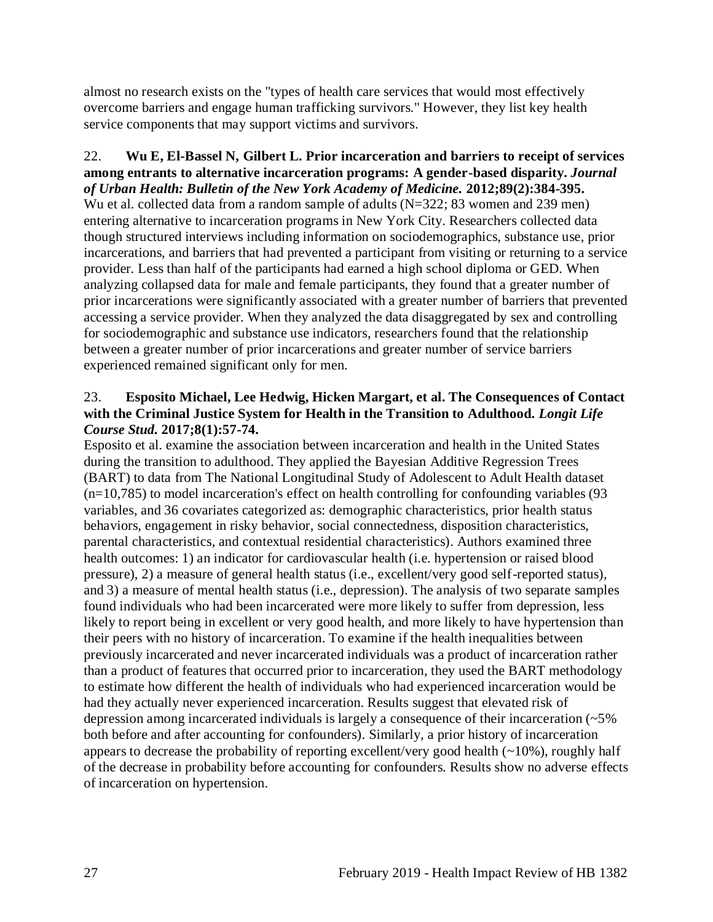almost no research exists on the "types of health care services that would most effectively overcome barriers and engage human trafficking survivors." However, they list key health service components that may support victims and survivors.

#### 22. **Wu E, El-Bassel N, Gilbert L. Prior incarceration and barriers to receipt of services among entrants to alternative incarceration programs: A gender-based disparity.** *Journal of Urban Health: Bulletin of the New York Academy of Medicine.* **2012;89(2):384-395.**

Wu et al. collected data from a random sample of adults (N=322; 83 women and 239 men) entering alternative to incarceration programs in New York City. Researchers collected data though structured interviews including information on sociodemographics, substance use, prior incarcerations, and barriers that had prevented a participant from visiting or returning to a service provider. Less than half of the participants had earned a high school diploma or GED. When analyzing collapsed data for male and female participants, they found that a greater number of prior incarcerations were significantly associated with a greater number of barriers that prevented accessing a service provider. When they analyzed the data disaggregated by sex and controlling for sociodemographic and substance use indicators, researchers found that the relationship between a greater number of prior incarcerations and greater number of service barriers experienced remained significant only for men.

## 23. **Esposito Michael, Lee Hedwig, Hicken Margart, et al. The Consequences of Contact with the Criminal Justice System for Health in the Transition to Adulthood.** *Longit Life Course Stud.* **2017;8(1):57-74.**

Esposito et al. examine the association between incarceration and health in the United States during the transition to adulthood. They applied the Bayesian Additive Regression Trees (BART) to data from The National Longitudinal Study of Adolescent to Adult Health dataset  $(n=10,785)$  to model incarceration's effect on health controlling for confounding variables (93) variables, and 36 covariates categorized as: demographic characteristics, prior health status behaviors, engagement in risky behavior, social connectedness, disposition characteristics, parental characteristics, and contextual residential characteristics). Authors examined three health outcomes: 1) an indicator for cardiovascular health (i.e. hypertension or raised blood pressure), 2) a measure of general health status (i.e., excellent/very good self-reported status), and 3) a measure of mental health status (i.e., depression). The analysis of two separate samples found individuals who had been incarcerated were more likely to suffer from depression, less likely to report being in excellent or very good health, and more likely to have hypertension than their peers with no history of incarceration. To examine if the health inequalities between previously incarcerated and never incarcerated individuals was a product of incarceration rather than a product of features that occurred prior to incarceration, they used the BART methodology to estimate how different the health of individuals who had experienced incarceration would be had they actually never experienced incarceration. Results suggest that elevated risk of depression among incarcerated individuals is largely a consequence of their incarceration (~5% both before and after accounting for confounders). Similarly, a prior history of incarceration appears to decrease the probability of reporting excellent/very good health  $(\sim 10\%)$ , roughly half of the decrease in probability before accounting for confounders. Results show no adverse effects of incarceration on hypertension.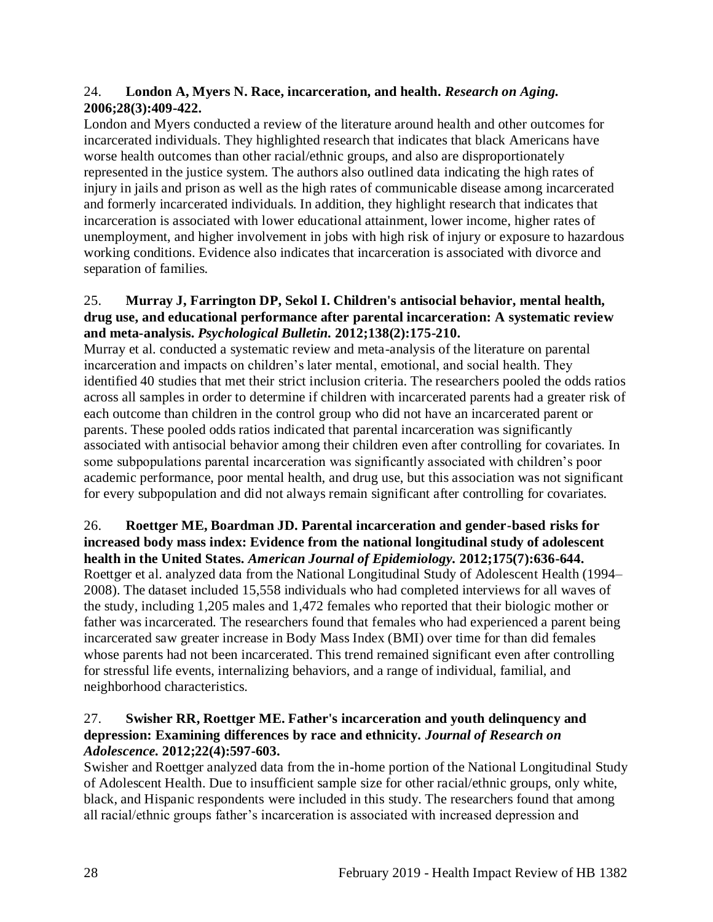## 24. **London A, Myers N. Race, incarceration, and health.** *Research on Aging.*  **2006;28(3):409-422.**

London and Myers conducted a review of the literature around health and other outcomes for incarcerated individuals. They highlighted research that indicates that black Americans have worse health outcomes than other racial/ethnic groups, and also are disproportionately represented in the justice system. The authors also outlined data indicating the high rates of injury in jails and prison as well as the high rates of communicable disease among incarcerated and formerly incarcerated individuals. In addition, they highlight research that indicates that incarceration is associated with lower educational attainment, lower income, higher rates of unemployment, and higher involvement in jobs with high risk of injury or exposure to hazardous working conditions. Evidence also indicates that incarceration is associated with divorce and separation of families.

#### 25. **Murray J, Farrington DP, Sekol I. Children's antisocial behavior, mental health, drug use, and educational performance after parental incarceration: A systematic review and meta-analysis.** *Psychological Bulletin.* **2012;138(2):175-210.**

Murray et al. conducted a systematic review and meta-analysis of the literature on parental incarceration and impacts on children's later mental, emotional, and social health. They identified 40 studies that met their strict inclusion criteria. The researchers pooled the odds ratios across all samples in order to determine if children with incarcerated parents had a greater risk of each outcome than children in the control group who did not have an incarcerated parent or parents. These pooled odds ratios indicated that parental incarceration was significantly associated with antisocial behavior among their children even after controlling for covariates. In some subpopulations parental incarceration was significantly associated with children's poor academic performance, poor mental health, and drug use, but this association was not significant for every subpopulation and did not always remain significant after controlling for covariates.

# 26. **Roettger ME, Boardman JD. Parental incarceration and gender-based risks for increased body mass index: Evidence from the national longitudinal study of adolescent**

**health in the United States.** *American Journal of Epidemiology.* **2012;175(7):636-644.** Roettger et al. analyzed data from the National Longitudinal Study of Adolescent Health (1994– 2008). The dataset included 15,558 individuals who had completed interviews for all waves of the study, including 1,205 males and 1,472 females who reported that their biologic mother or father was incarcerated. The researchers found that females who had experienced a parent being incarcerated saw greater increase in Body Mass Index (BMI) over time for than did females whose parents had not been incarcerated. This trend remained significant even after controlling for stressful life events, internalizing behaviors, and a range of individual, familial, and neighborhood characteristics.

# 27. **Swisher RR, Roettger ME. Father's incarceration and youth delinquency and depression: Examining differences by race and ethnicity.** *Journal of Research on Adolescence.* **2012;22(4):597-603.**

Swisher and Roettger analyzed data from the in-home portion of the National Longitudinal Study of Adolescent Health. Due to insufficient sample size for other racial/ethnic groups, only white, black, and Hispanic respondents were included in this study. The researchers found that among all racial/ethnic groups father's incarceration is associated with increased depression and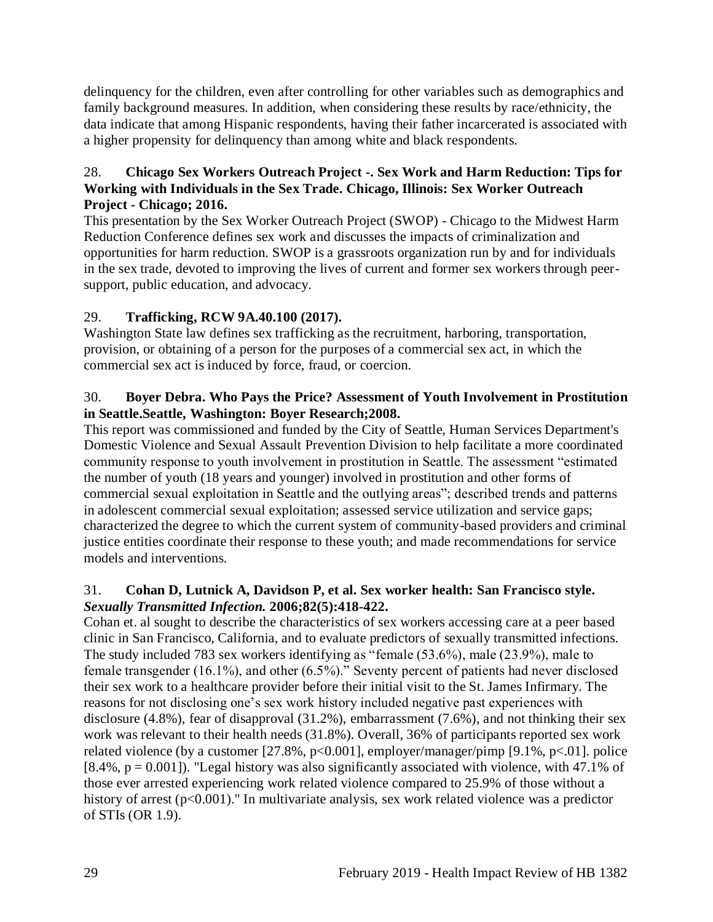delinquency for the children, even after controlling for other variables such as demographics and family background measures. In addition, when considering these results by race/ethnicity, the data indicate that among Hispanic respondents, having their father incarcerated is associated with a higher propensity for delinquency than among white and black respondents.

## <span id="page-31-1"></span>28. **Chicago Sex Workers Outreach Project -. Sex Work and Harm Reduction: Tips for Working with Individuals in the Sex Trade. Chicago, Illinois: Sex Worker Outreach Project - Chicago; 2016.**

This presentation by the Sex Worker Outreach Project (SWOP) - Chicago to the Midwest Harm Reduction Conference defines sex work and discusses the impacts of criminalization and opportunities for harm reduction. SWOP is a grassroots organization run by and for individuals in the sex trade, devoted to improving the lives of current and former sex workers through peersupport, public education, and advocacy.

# 29. **Trafficking, RCW 9A.40.100 (2017).**

Washington State law defines sex trafficking as the recruitment, harboring, transportation, provision, or obtaining of a person for the purposes of a commercial sex act, in which the commercial sex act is induced by force, fraud, or coercion.

## 30. **Boyer Debra. Who Pays the Price? Assessment of Youth Involvement in Prostitution in Seattle.Seattle, Washington: Boyer Research;2008.**

This report was commissioned and funded by the City of Seattle, Human Services Department's Domestic Violence and Sexual Assault Prevention Division to help facilitate a more coordinated community response to youth involvement in prostitution in Seattle. The assessment "estimated the number of youth (18 years and younger) involved in prostitution and other forms of commercial sexual exploitation in Seattle and the outlying areas"; described trends and patterns in adolescent commercial sexual exploitation; assessed service utilization and service gaps; characterized the degree to which the current system of community-based providers and criminal justice entities coordinate their response to these youth; and made recommendations for service models and interventions.

## <span id="page-31-0"></span>31. **Cohan D, Lutnick A, Davidson P, et al. Sex worker health: San Francisco style.**  *Sexually Transmitted Infection.* **2006;82(5):418-422.**

Cohan et. al sought to describe the characteristics of sex workers accessing care at a peer based clinic in San Francisco, California, and to evaluate predictors of sexually transmitted infections. The study included 783 sex workers identifying as "female (53.6%), male (23.9%), male to female transgender (16.1%), and other (6.5%)." Seventy percent of patients had never disclosed their sex work to a healthcare provider before their initial visit to the St. James Infirmary. The reasons for not disclosing one's sex work history included negative past experiences with disclosure (4.8%), fear of disapproval (31.2%), embarrassment (7.6%), and not thinking their sex work was relevant to their health needs (31.8%). Overall, 36% of participants reported sex work related violence (by a customer [27.8%,  $p<0.001$ ], employer/manager/pimp [9.1%,  $p<01$ ]. police [8.4%,  $p = 0.001$ ]). "Legal history was also significantly associated with violence, with 47.1% of those ever arrested experiencing work related violence compared to 25.9% of those without a history of arrest (p<0.001)." In multivariate analysis, sex work related violence was a predictor of STIs (OR 1.9).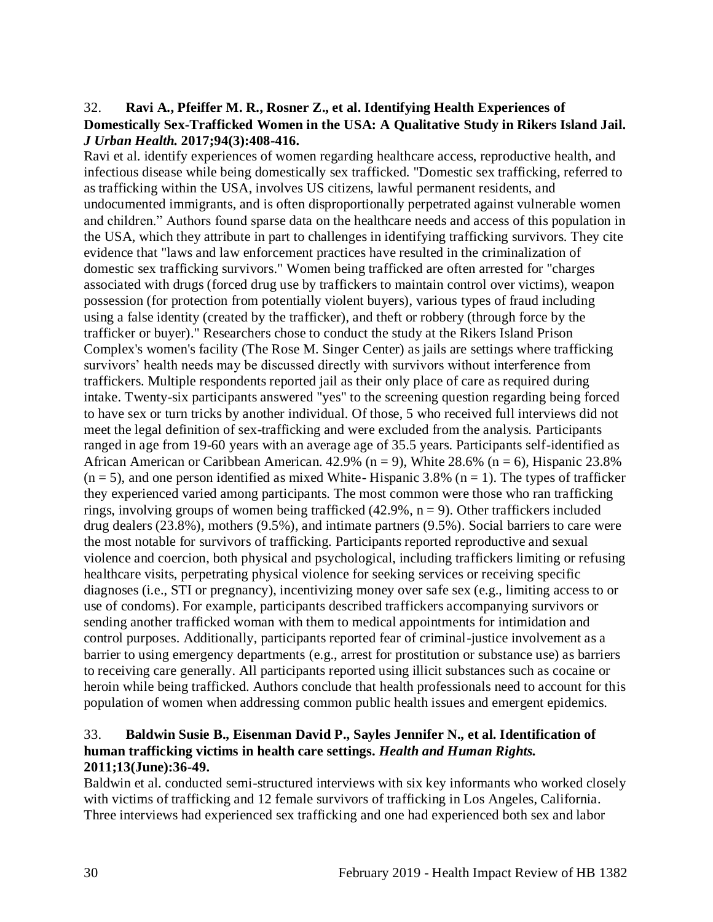#### <span id="page-32-0"></span>32. **Ravi A., Pfeiffer M. R., Rosner Z., et al. Identifying Health Experiences of Domestically Sex-Trafficked Women in the USA: A Qualitative Study in Rikers Island Jail.**  *J Urban Health.* **2017;94(3):408-416.**

Ravi et al. identify experiences of women regarding healthcare access, reproductive health, and infectious disease while being domestically sex trafficked. "Domestic sex trafficking, referred to as trafficking within the USA, involves US citizens, lawful permanent residents, and undocumented immigrants, and is often disproportionally perpetrated against vulnerable women and children." Authors found sparse data on the healthcare needs and access of this population in the USA, which they attribute in part to challenges in identifying trafficking survivors. They cite evidence that "laws and law enforcement practices have resulted in the criminalization of domestic sex trafficking survivors." Women being trafficked are often arrested for "charges associated with drugs (forced drug use by traffickers to maintain control over victims), weapon possession (for protection from potentially violent buyers), various types of fraud including using a false identity (created by the trafficker), and theft or robbery (through force by the trafficker or buyer)." Researchers chose to conduct the study at the Rikers Island Prison Complex's women's facility (The Rose M. Singer Center) as jails are settings where trafficking survivors' health needs may be discussed directly with survivors without interference from traffickers. Multiple respondents reported jail as their only place of care as required during intake. Twenty-six participants answered "yes" to the screening question regarding being forced to have sex or turn tricks by another individual. Of those, 5 who received full interviews did not meet the legal definition of sex-trafficking and were excluded from the analysis. Participants ranged in age from 19-60 years with an average age of 35.5 years. Participants self-identified as African American or Caribbean American.  $42.9\%$  (n = 9), White 28.6% (n = 6), Hispanic 23.8%  $(n = 5)$ , and one person identified as mixed White-Hispanic 3.8% (n = 1). The types of trafficker they experienced varied among participants. The most common were those who ran trafficking rings, involving groups of women being trafficked  $(42.9\%$ ,  $n = 9)$ . Other traffickers included drug dealers (23.8%), mothers (9.5%), and intimate partners (9.5%). Social barriers to care were the most notable for survivors of trafficking. Participants reported reproductive and sexual violence and coercion, both physical and psychological, including traffickers limiting or refusing healthcare visits, perpetrating physical violence for seeking services or receiving specific diagnoses (i.e., STI or pregnancy), incentivizing money over safe sex (e.g., limiting access to or use of condoms). For example, participants described traffickers accompanying survivors or sending another trafficked woman with them to medical appointments for intimidation and control purposes. Additionally, participants reported fear of criminal-justice involvement as a barrier to using emergency departments (e.g., arrest for prostitution or substance use) as barriers to receiving care generally. All participants reported using illicit substances such as cocaine or heroin while being trafficked. Authors conclude that health professionals need to account for this population of women when addressing common public health issues and emergent epidemics.

## <span id="page-32-1"></span>33. **Baldwin Susie B., Eisenman David P., Sayles Jennifer N., et al. Identification of human trafficking victims in health care settings.** *Health and Human Rights.*  **2011;13(June):36-49.**

Baldwin et al. conducted semi-structured interviews with six key informants who worked closely with victims of trafficking and 12 female survivors of trafficking in Los Angeles, California. Three interviews had experienced sex trafficking and one had experienced both sex and labor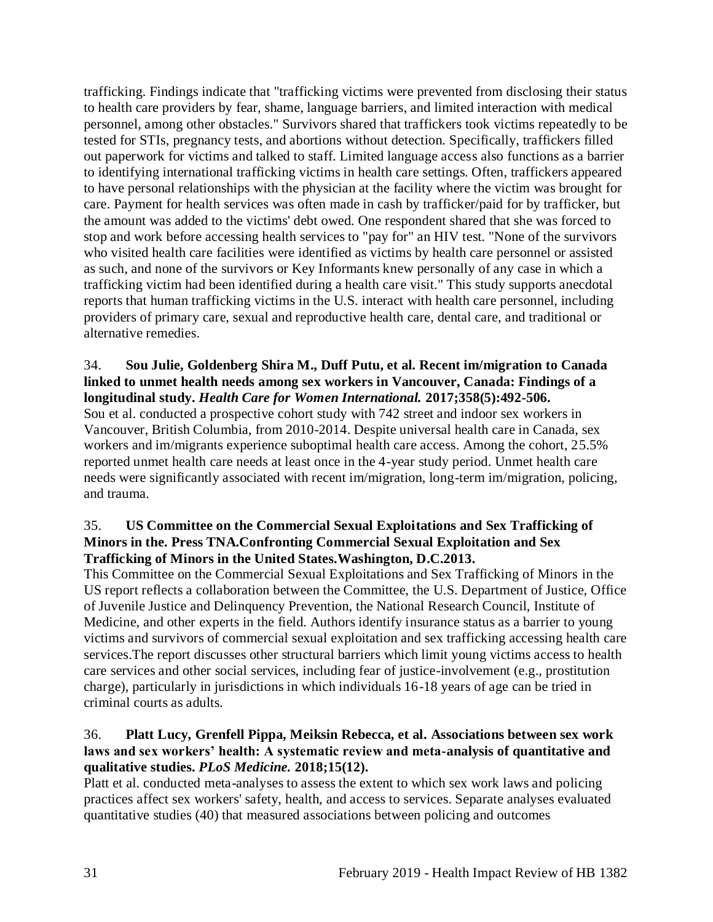trafficking. Findings indicate that "trafficking victims were prevented from disclosing their status to health care providers by fear, shame, language barriers, and limited interaction with medical personnel, among other obstacles." Survivors shared that traffickers took victims repeatedly to be tested for STIs, pregnancy tests, and abortions without detection. Specifically, traffickers filled out paperwork for victims and talked to staff. Limited language access also functions as a barrier to identifying international trafficking victims in health care settings. Often, traffickers appeared to have personal relationships with the physician at the facility where the victim was brought for care. Payment for health services was often made in cash by trafficker/paid for by trafficker, but the amount was added to the victims' debt owed. One respondent shared that she was forced to stop and work before accessing health services to "pay for" an HIV test. "None of the survivors who visited health care facilities were identified as victims by health care personnel or assisted as such, and none of the survivors or Key Informants knew personally of any case in which a trafficking victim had been identified during a health care visit." This study supports anecdotal reports that human trafficking victims in the U.S. interact with health care personnel, including providers of primary care, sexual and reproductive health care, dental care, and traditional or alternative remedies.

#### <span id="page-33-0"></span>34. **Sou Julie, Goldenberg Shira M., Duff Putu, et al. Recent im/migration to Canada linked to unmet health needs among sex workers in Vancouver, Canada: Findings of a longitudinal study.** *Health Care for Women International.* **2017;358(5):492-506.**

Sou et al. conducted a prospective cohort study with 742 street and indoor sex workers in Vancouver, British Columbia, from 2010-2014. Despite universal health care in Canada, sex workers and im/migrants experience suboptimal health care access. Among the cohort, 25.5% reported unmet health care needs at least once in the 4-year study period. Unmet health care needs were significantly associated with recent im/migration, long-term im/migration, policing, and trauma.

## <span id="page-33-1"></span>35. **US Committee on the Commercial Sexual Exploitations and Sex Trafficking of Minors in the. Press TNA.Confronting Commercial Sexual Exploitation and Sex Trafficking of Minors in the United States.Washington, D.C.2013.**

This Committee on the Commercial Sexual Exploitations and Sex Trafficking of Minors in the US report reflects a collaboration between the Committee, the U.S. Department of Justice, Office of Juvenile Justice and Delinquency Prevention, the National Research Council, Institute of Medicine, and other experts in the field. Authors identify insurance status as a barrier to young victims and survivors of commercial sexual exploitation and sex trafficking accessing health care services.The report discusses other structural barriers which limit young victims access to health care services and other social services, including fear of justice-involvement (e.g., prostitution charge), particularly in jurisdictions in which individuals 16-18 years of age can be tried in criminal courts as adults.

## <span id="page-33-2"></span>36. **Platt Lucy, Grenfell Pippa, Meiksin Rebecca, et al. Associations between sex work laws and sex workers' health: A systematic review and meta-analysis of quantitative and qualitative studies.** *PLoS Medicine.* **2018;15(12).**

Platt et al. conducted meta-analyses to assess the extent to which sex work laws and policing practices affect sex workers' safety, health, and access to services. Separate analyses evaluated quantitative studies (40) that measured associations between policing and outcomes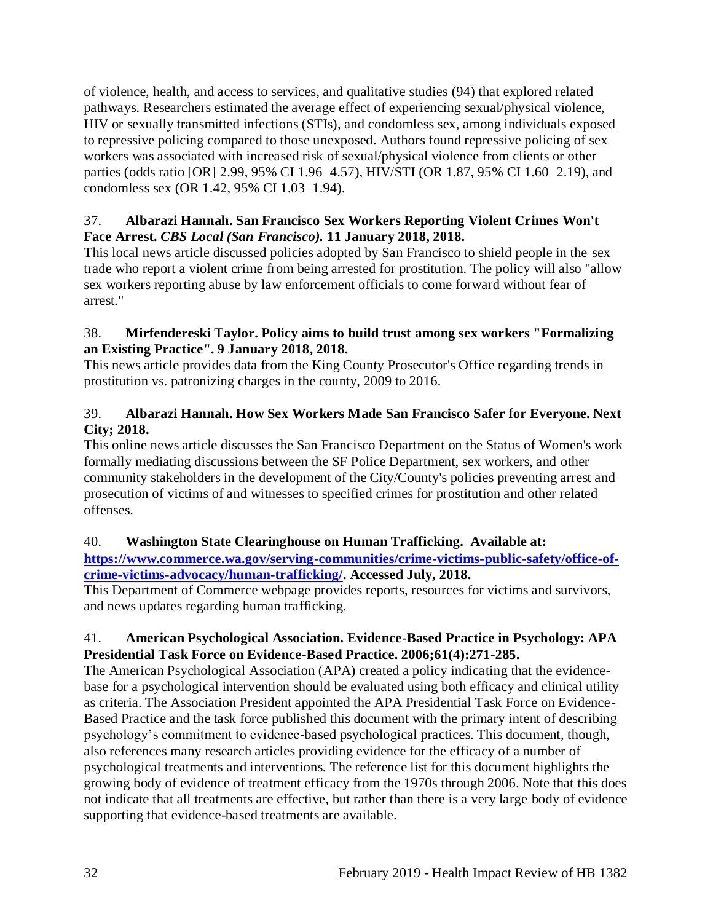of violence, health, and access to services, and qualitative studies (94) that explored related pathways. Researchers estimated the average effect of experiencing sexual/physical violence, HIV or sexually transmitted infections (STIs), and condomless sex, among individuals exposed to repressive policing compared to those unexposed. Authors found repressive policing of sex workers was associated with increased risk of sexual/physical violence from clients or other parties (odds ratio [OR] 2.99, 95% CI 1.96–4.57), HIV/STI (OR 1.87, 95% CI 1.60–2.19), and condomless sex (OR 1.42, 95% CI 1.03–1.94).

# <span id="page-34-0"></span>37. **Albarazi Hannah. San Francisco Sex Workers Reporting Violent Crimes Won't Face Arrest.** *CBS Local (San Francisco).* **11 January 2018, 2018.**

This local news article discussed policies adopted by San Francisco to shield people in the sex trade who report a violent crime from being arrested for prostitution. The policy will also "allow sex workers reporting abuse by law enforcement officials to come forward without fear of arrest."

# 38. **Mirfendereski Taylor. Policy aims to build trust among sex workers "Formalizing an Existing Practice". 9 January 2018, 2018.**

This news article provides data from the King County Prosecutor's Office regarding trends in prostitution vs. patronizing charges in the county, 2009 to 2016.

# 39. **Albarazi Hannah. How Sex Workers Made San Francisco Safer for Everyone. Next City; 2018.**

This online news article discusses the San Francisco Department on the Status of Women's work formally mediating discussions between the SF Police Department, sex workers, and other community stakeholders in the development of the City/County's policies preventing arrest and prosecution of victims of and witnesses to specified crimes for prostitution and other related offenses.

# 40. **Washington State Clearinghouse on Human Trafficking. Available at:**

**[https://www.commerce.wa.gov/serving-communities/crime-victims-public-safety/office-of](https://www.commerce.wa.gov/serving-communities/crime-victims-public-safety/office-of-crime-victims-advocacy/human-trafficking/)[crime-victims-advocacy/human-trafficking/.](https://www.commerce.wa.gov/serving-communities/crime-victims-public-safety/office-of-crime-victims-advocacy/human-trafficking/) Accessed July, 2018.**

This Department of Commerce webpage provides reports, resources for victims and survivors, and news updates regarding human trafficking.

# 41. **American Psychological Association. Evidence-Based Practice in Psychology: APA Presidential Task Force on Evidence-Based Practice. 2006;61(4):271-285.**

The American Psychological Association (APA) created a policy indicating that the evidencebase for a psychological intervention should be evaluated using both efficacy and clinical utility as criteria. The Association President appointed the APA Presidential Task Force on Evidence-Based Practice and the task force published this document with the primary intent of describing psychology's commitment to evidence-based psychological practices. This document, though, also references many research articles providing evidence for the efficacy of a number of psychological treatments and interventions. The reference list for this document highlights the growing body of evidence of treatment efficacy from the 1970s through 2006. Note that this does not indicate that all treatments are effective, but rather than there is a very large body of evidence supporting that evidence-based treatments are available.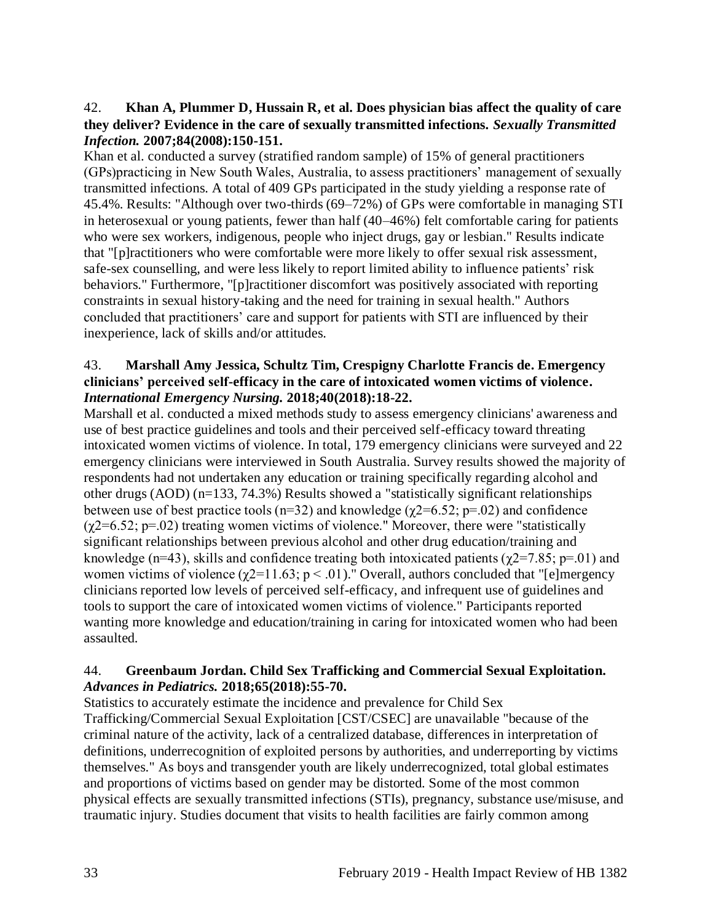#### <span id="page-35-0"></span>42. **Khan A, Plummer D, Hussain R, et al. Does physician bias affect the quality of care they deliver? Evidence in the care of sexually transmitted infections.** *Sexually Transmitted Infection.* **2007;84(2008):150-151.**

Khan et al. conducted a survey (stratified random sample) of 15% of general practitioners (GPs)practicing in New South Wales, Australia, to assess practitioners' management of sexually transmitted infections. A total of 409 GPs participated in the study yielding a response rate of 45.4%. Results: "Although over two-thirds (69–72%) of GPs were comfortable in managing STI in heterosexual or young patients, fewer than half (40–46%) felt comfortable caring for patients who were sex workers, indigenous, people who inject drugs, gay or lesbian." Results indicate that "[p]ractitioners who were comfortable were more likely to offer sexual risk assessment, safe-sex counselling, and were less likely to report limited ability to influence patients' risk behaviors." Furthermore, "[p]ractitioner discomfort was positively associated with reporting constraints in sexual history-taking and the need for training in sexual health." Authors concluded that practitioners' care and support for patients with STI are influenced by their inexperience, lack of skills and/or attitudes.

#### 43. **Marshall Amy Jessica, Schultz Tim, Crespigny Charlotte Francis de. Emergency clinicians' perceived self-efficacy in the care of intoxicated women victims of violence.**  *International Emergency Nursing.* **2018;40(2018):18-22.**

Marshall et al. conducted a mixed methods study to assess emergency clinicians' awareness and use of best practice guidelines and tools and their perceived self-efficacy toward threating intoxicated women victims of violence. In total, 179 emergency clinicians were surveyed and 22 emergency clinicians were interviewed in South Australia. Survey results showed the majority of respondents had not undertaken any education or training specifically regarding alcohol and other drugs (AOD) (n=133, 74.3%) Results showed a "statistically significant relationships between use of best practice tools ( $n=32$ ) and knowledge ( $\gamma$ 2=6.52;  $p=.02$ ) and confidence  $(\gamma$ 2=6.52; p=.02) treating women victims of violence." Moreover, there were "statistically significant relationships between previous alcohol and other drug education/training and knowledge (n=43), skills and confidence treating both intoxicated patients ( $\gamma$ 2=7.85; p=.01) and women victims of violence ( $\gamma$ 2=11.63; p < .01)." Overall, authors concluded that "[e]mergency clinicians reported low levels of perceived self-efficacy, and infrequent use of guidelines and tools to support the care of intoxicated women victims of violence." Participants reported wanting more knowledge and education/training in caring for intoxicated women who had been assaulted.

## 44. **Greenbaum Jordan. Child Sex Trafficking and Commercial Sexual Exploitation.**  *Advances in Pediatrics.* **2018;65(2018):55-70.**

Statistics to accurately estimate the incidence and prevalence for Child Sex Trafficking/Commercial Sexual Exploitation [CST/CSEC] are unavailable "because of the criminal nature of the activity, lack of a centralized database, differences in interpretation of definitions, underrecognition of exploited persons by authorities, and underreporting by victims themselves." As boys and transgender youth are likely underrecognized, total global estimates and proportions of victims based on gender may be distorted. Some of the most common physical effects are sexually transmitted infections (STIs), pregnancy, substance use/misuse, and traumatic injury. Studies document that visits to health facilities are fairly common among